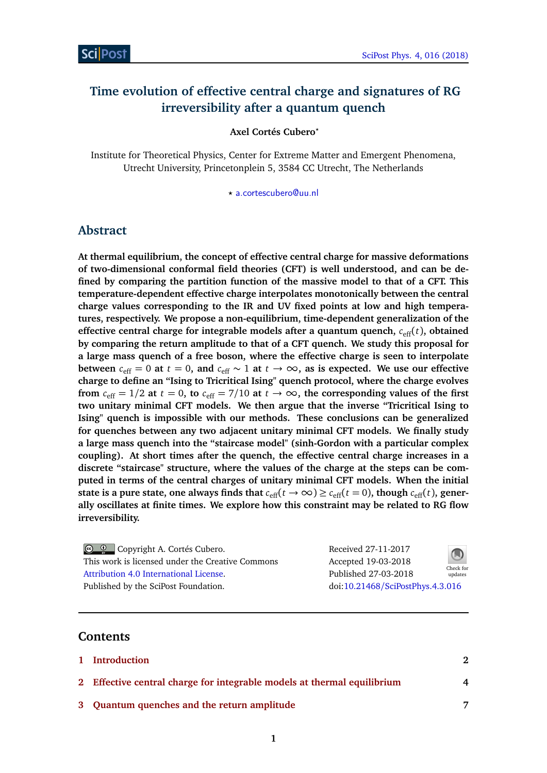# **Time evolution of effective central charge and signatures of RG irreversibility after a quantum quench**

**Axel Cortés Cubero***?*

Institute for Theoretical Physics, Center for Extreme Matter and Emergent Phenomena, Utrecht University, Princetonplein 5, 3584 CC Utrecht, The Netherlands

*?* [a.cortescubero@uu.nl](mailto:a.cortescubero@uu.nl)

### **Abstract**

**At thermal equilibrium, the concept of effective central charge for massive deformations of two-dimensional conformal field theories (CFT) is well understood, and can be defined by comparing the partition function of the massive model to that of a CFT. This temperature-dependent effective charge interpolates monotonically between the central charge values corresponding to the IR and UV fixed points at low and high temperatures, respectively. We propose a non-equilibrium, time-dependent generalization of the effective central charge for integrable models after a quantum quench,**  $c_{\text{eff}}(t)$ **, obtained by comparing the return amplitude to that of a CFT quench. We study this proposal for a large mass quench of a free boson, where the effective charge is seen to interpolate between**  $c_{\text{eff}}$  = 0 at  $t$  = 0, and  $c_{\text{eff}}$  ~ 1 at  $t$  → ∞, as is expected. We use our effective **charge to define an "Ising to Tricritical Ising" quench protocol, where the charge evolves from**  $c_{\text{eff}} = 1/2$  at  $t = 0$ , to  $c_{\text{eff}} = 7/10$  at  $t \to \infty$ , the corresponding values of the first **two unitary minimal CFT models. We then argue that the inverse "Tricritical Ising to Ising" quench is impossible with our methods. These conclusions can be generalized for quenches between any two adjacent unitary minimal CFT models. We finally study a large mass quench into the "staircase model" (sinh-Gordon with a particular complex coupling). At short times after the quench, the effective central charge increases in a discrete "staircase" structure, where the values of the charge at the steps can be computed in terms of the central charges of unitary minimal CFT models. When the initial state is a pure state, one always finds that**  $c_{\text{eff}}(t \to \infty) \geq c_{\text{eff}}(t = 0)$ , though  $c_{\text{eff}}(t)$ , gener**ally oscillates at finite times. We explore how this constraint may be related to RG flow irreversibility.**

Copyright A. Cortés Cubero. This work is licensed under the Creative Commons [Attribution 4.0 International License.](http://creativecommons.org/licenses/by/4.0/) Published by the SciPost Foundation.

Received 27-11-2017 Accepted 19-03-2018 Published 27-03-2018



doi:10.21468/[SciPostPhys.4.3.016](http://dx.doi.org/10.21468/SciPostPhys.4.3.016)

### **Contents**

| 1 Introduction                                                          | 2                      |
|-------------------------------------------------------------------------|------------------------|
| 2 Effective central charge for integrable models at thermal equilibrium | $\boldsymbol{\Lambda}$ |
| 3 Quantum quenches and the return amplitude                             |                        |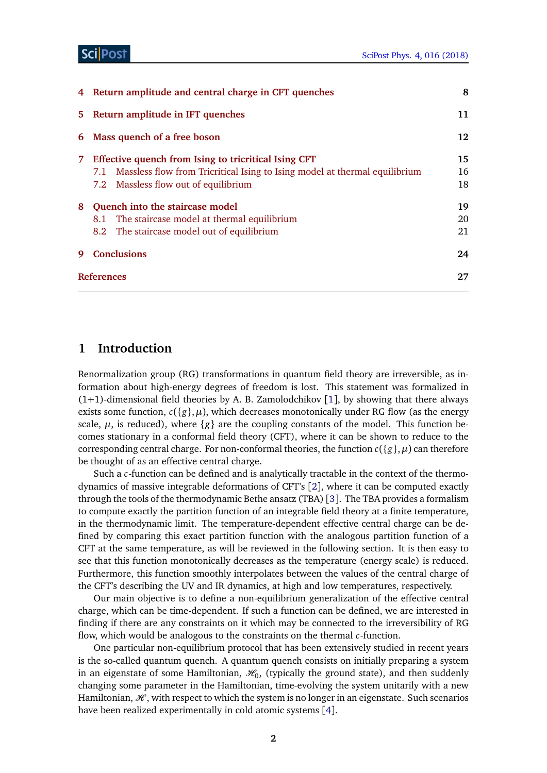#### Sci Post

|    | 4 Return amplitude and central charge in CFT quenches                                                                                                                          | 8              |  |
|----|--------------------------------------------------------------------------------------------------------------------------------------------------------------------------------|----------------|--|
| 5. | Return amplitude in IFT quenches                                                                                                                                               | 11             |  |
| 6  | Mass quench of a free boson                                                                                                                                                    | 12             |  |
| 7. | Effective quench from Ising to tricritical Ising CFT<br>7.1 Massless flow from Tricritical Ising to Ising model at thermal equilibrium<br>7.2 Massless flow out of equilibrium | 15<br>16<br>18 |  |
| 8  | Quench into the staircase model<br>The staircase model at thermal equilibrium<br>8.1<br>8.2 The staircase model out of equilibrium                                             | 19<br>20<br>21 |  |
| 9  | <b>Conclusions</b>                                                                                                                                                             | 24             |  |
|    | <b>References</b>                                                                                                                                                              |                |  |

### <span id="page-1-0"></span>**1 Introduction**

Renormalization group (RG) transformations in quantum field theory are irreversible, as information about high-energy degrees of freedom is lost. This statement was formalized in  $(1+1)$  $(1+1)$  $(1+1)$ -dimensional field theories by A. B. Zamolodchikov [1], by showing that there always exists some function,  $c({g},\mu)$ , which decreases monotonically under RG flow (as the energy scale,  $\mu$ , is reduced), where  $\{g\}$  are the coupling constants of the model. This function becomes stationary in a conformal field theory (CFT), where it can be shown to reduce to the corresponding central charge. For non-conformal theories, the function  $c({g}, \mu)$  can therefore be thought of as an effective central charge.

Such a *c*-function can be defined and is analytically tractable in the context of the thermodynamics of massive integrable deformations of CFT's [[2](#page-26-1)], where it can be computed exactly through the tools of the thermodynamic Bethe ansatz (TBA) [[3](#page-26-2)]. The TBA provides a formalism to compute exactly the partition function of an integrable field theory at a finite temperature, in the thermodynamic limit. The temperature-dependent effective central charge can be defined by comparing this exact partition function with the analogous partition function of a CFT at the same temperature, as will be reviewed in the following section. It is then easy to see that this function monotonically decreases as the temperature (energy scale) is reduced. Furthermore, this function smoothly interpolates between the values of the central charge of the CFT's describing the UV and IR dynamics, at high and low temperatures, respectively.

Our main objective is to define a non-equilibrium generalization of the effective central charge, which can be time-dependent. If such a function can be defined, we are interested in finding if there are any constraints on it which may be connected to the irreversibility of RG flow, which would be analogous to the constraints on the thermal *c*-function.

One particular non-equilibrium protocol that has been extensively studied in recent years is the so-called quantum quench. A quantum quench consists on initially preparing a system in an eigenstate of some Hamiltonian,  $\mathcal{H}_0$ , (typically the ground state), and then suddenly changing some parameter in the Hamiltonian, time-evolving the system unitarily with a new Hamiltonian,  $\mathcal{H}$ , with respect to which the system is no longer in an eigenstate. Such scenarios have been realized experimentally in cold atomic systems [[4](#page-26-3)].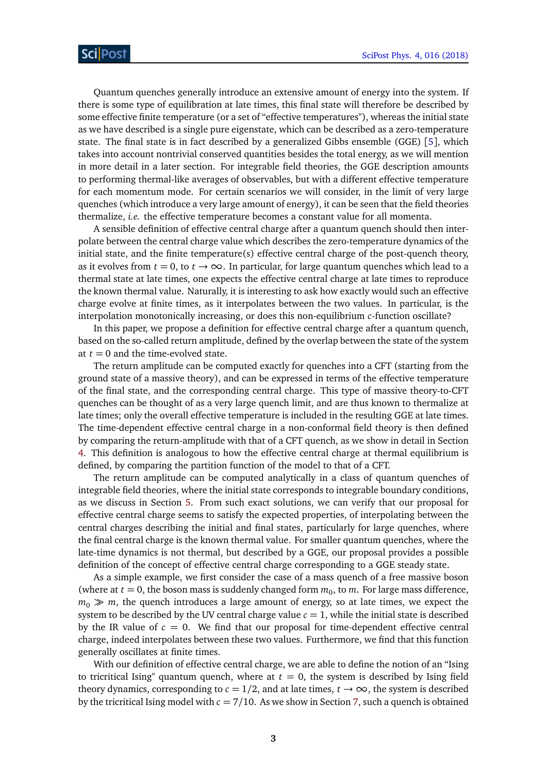Quantum quenches generally introduce an extensive amount of energy into the system. If there is some type of equilibration at late times, this final state will therefore be described by some effective finite temperature (or a set of "effective temperatures"), whereas the initial state as we have described is a single pure eigenstate, which can be described as a zero-temperature state. The final state is in fact described by a generalized Gibbs ensemble (GGE) [[5](#page-26-4)], which takes into account nontrivial conserved quantities besides the total energy, as we will mention in more detail in a later section. For integrable field theories, the GGE description amounts to performing thermal-like averages of observables, but with a different effective temperature for each momentum mode. For certain scenarios we will consider, in the limit of very large quenches (which introduce a very large amount of energy), it can be seen that the field theories thermalize, *i.e.* the effective temperature becomes a constant value for all momenta.

A sensible definition of effective central charge after a quantum quench should then interpolate between the central charge value which describes the zero-temperature dynamics of the initial state, and the finite temperature $(s)$  effective central charge of the post-quench theory, as it evolves from  $t = 0$ , to  $t \to \infty$ . In particular, for large quantum quenches which lead to a thermal state at late times, one expects the effective central charge at late times to reproduce the known thermal value. Naturally, it is interesting to ask how exactly would such an effective charge evolve at finite times, as it interpolates between the two values. In particular, is the interpolation monotonically increasing, or does this non-equilibrium *c*-function oscillate?

In this paper, we propose a definition for effective central charge after a quantum quench, based on the so-called return amplitude, defined by the overlap between the state of the system at  $t = 0$  and the time-evolved state.

The return amplitude can be computed exactly for quenches into a CFT (starting from the ground state of a massive theory), and can be expressed in terms of the effective temperature of the final state, and the corresponding central charge. This type of massive theory-to-CFT quenches can be thought of as a very large quench limit, and are thus known to thermalize at late times; only the overall effective temperature is included in the resulting GGE at late times. The time-dependent effective central charge in a non-conformal field theory is then defined by comparing the return-amplitude with that of a CFT quench, as we show in detail in Section [4.](#page-7-0) This definition is analogous to how the effective central charge at thermal equilibrium is defined, by comparing the partition function of the model to that of a CFT.

The return amplitude can be computed analytically in a class of quantum quenches of integrable field theories, where the initial state corresponds to integrable boundary conditions, as we discuss in Section [5.](#page-10-0) From such exact solutions, we can verify that our proposal for effective central charge seems to satisfy the expected properties, of interpolating between the central charges describing the initial and final states, particularly for large quenches, where the final central charge is the known thermal value. For smaller quantum quenches, where the late-time dynamics is not thermal, but described by a GGE, our proposal provides a possible definition of the concept of effective central charge corresponding to a GGE steady state.

As a simple example, we first consider the case of a mass quench of a free massive boson (where at  $t = 0$ , the boson mass is suddenly changed form  $m_0$ , to  $m$ . For large mass difference,  $m_0 \gg m$ , the quench introduces a large amount of energy, so at late times, we expect the system to be described by the UV central charge value  $c = 1$ , while the initial state is described by the IR value of  $c = 0$ . We find that our proposal for time-dependent effective central charge, indeed interpolates between these two values. Furthermore, we find that this function generally oscillates at finite times.

With our definition of effective central charge, we are able to define the notion of an "Ising to tricritical Ising" quantum quench, where at  $t = 0$ , the system is described by Ising field theory dynamics, corresponding to  $c = 1/2$ , and at late times,  $t \to \infty$ , the system is described by the tricritical Ising model with  $c = 7/10$ . As we show in Section [7,](#page-14-0) such a quench is obtained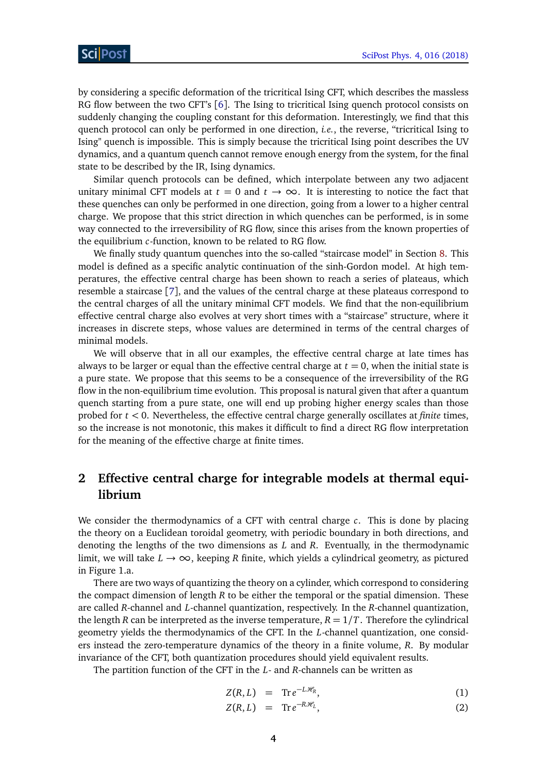by considering a specific deformation of the tricritical Ising CFT, which describes the massless RG flow between the two CFT's [[6](#page-26-5)]. The Ising to tricritical Ising quench protocol consists on suddenly changing the coupling constant for this deformation. Interestingly, we find that this quench protocol can only be performed in one direction, *i.e.*, the reverse, "tricritical Ising to Ising" quench is impossible. This is simply because the tricritical Ising point describes the UV dynamics, and a quantum quench cannot remove enough energy from the system, for the final state to be described by the IR, Ising dynamics.

Similar quench protocols can be defined, which interpolate between any two adjacent unitary minimal CFT models at  $t = 0$  and  $t \to \infty$ . It is interesting to notice the fact that these quenches can only be performed in one direction, going from a lower to a higher central charge. We propose that this strict direction in which quenches can be performed, is in some way connected to the irreversibility of RG flow, since this arises from the known properties of the equilibrium *c*-function, known to be related to RG flow.

We finally study quantum quenches into the so-called "staircase model" in Section [8.](#page-18-0) This model is defined as a specific analytic continuation of the sinh-Gordon model. At high temperatures, the effective central charge has been shown to reach a series of plateaus, which resemble a staircase [[7](#page-26-6)], and the values of the central charge at these plateaus correspond to the central charges of all the unitary minimal CFT models. We find that the non-equilibrium effective central charge also evolves at very short times with a "staircase" structure, where it increases in discrete steps, whose values are determined in terms of the central charges of minimal models.

We will observe that in all our examples, the effective central charge at late times has always to be larger or equal than the effective central charge at  $t = 0$ , when the initial state is a pure state. We propose that this seems to be a consequence of the irreversibility of the RG flow in the non-equilibrium time evolution. This proposal is natural given that after a quantum quench starting from a pure state, one will end up probing higher energy scales than those probed for *t <* 0. Nevertheless, the effective central charge generally oscillates at *finite* times, so the increase is not monotonic, this makes it difficult to find a direct RG flow interpretation for the meaning of the effective charge at finite times.

# <span id="page-3-0"></span>**2 Effective central charge for integrable models at thermal equilibrium**

We consider the thermodynamics of a CFT with central charge *c*. This is done by placing the theory on a Euclidean toroidal geometry, with periodic boundary in both directions, and denoting the lengths of the two dimensions as *L* and *R*. Eventually, in the thermodynamic limit, we will take  $L \rightarrow \infty$ , keeping *R* finite, which yields a cylindrical geometry, as pictured in Figure 1.a.

There are two ways of quantizing the theory on a cylinder, which correspond to considering the compact dimension of length *R* to be either the temporal or the spatial dimension. These are called *R*-channel and *L*-channel quantization, respectively. In the *R*-channel quantization, the length *R* can be interpreted as the inverse temperature,  $R = 1/T$ . Therefore the cylindrical geometry yields the thermodynamics of the CFT. In the *L*-channel quantization, one considers instead the zero-temperature dynamics of the theory in a finite volume, *R*. By modular invariance of the CFT, both quantization procedures should yield equivalent results.

The partition function of the CFT in the *L*- and *R*-channels can be written as

<span id="page-3-1"></span>
$$
Z(R,L) = \mathrm{Tr} \, e^{-L\mathcal{H}_R}, \tag{1}
$$

$$
Z(R,L) = \text{Tr} \, e^{-R\mathcal{H}_L}, \tag{2}
$$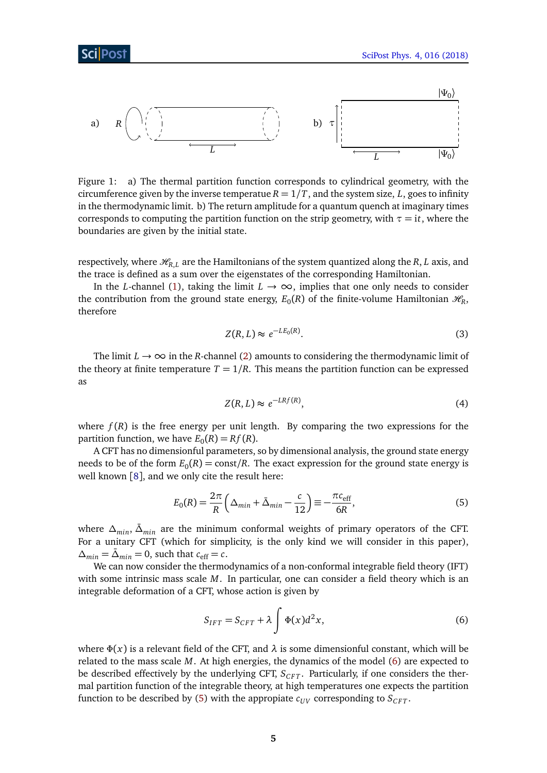

Figure 1: a) The thermal partition function corresponds to cylindrical geometry, with the circumference given by the inverse temperatue  $R = 1/T$ , and the system size, L, goes to infinity in the thermodynamic limit. b) The return amplitude for a quantum quench at imaginary times corresponds to computing the partition function on the strip geometry, with  $\tau = i\tau$ , where the boundaries are given by the initial state.

respectively, where  $\mathcal{H}_{R,L}$  are the Hamiltonians of the system quantized along the *R*, *L* axis, and the trace is defined as a sum over the eigenstates of the corresponding Hamiltonian.

In the *L*-channel [\(1\)](#page-3-1), taking the limit  $L \rightarrow \infty$ , implies that one only needs to consider the contribution from the ground state energy,  $E_0(R)$  of the finite-volume Hamiltonian  $\mathcal{H}_R$ , therefore

$$
Z(R, L) \approx e^{-LE_0(R)}.\tag{3}
$$

The limit  $L \rightarrow \infty$  in the *R*-channel [\(2\)](#page-3-1) amounts to considering the thermodynamic limit of the theory at finite temperature  $T = 1/R$ . This means the partition function can be expressed as

$$
Z(R, L) \approx e^{-LRf(R)},\tag{4}
$$

where  $f(R)$  is the free energy per unit length. By comparing the two expressions for the partition function, we have  $E_0(R) = Rf(R)$ .

A CFT has no dimensionful parameters, so by dimensional analysis, the ground state energy needs to be of the form  $E_0(R) = \mathrm{const}/R$ . The exact expression for the ground state energy is well known [[8](#page-27-0)], and we only cite the result here:

<span id="page-4-1"></span>
$$
E_0(R) = \frac{2\pi}{R} \left( \Delta_{min} + \bar{\Delta}_{min} - \frac{c}{12} \right) \equiv -\frac{\pi c_{\text{eff}}}{6R},\tag{5}
$$

where  $\Delta_{min}$ ,  $\bar{\Delta}_{min}$  are the minimum conformal weights of primary operators of the CFT. For a unitary CFT (which for simplicity, is the only kind we will consider in this paper),  $\Delta_{min} = \bar{\Delta}_{min} = 0$ , such that  $c_{\text{eff}} = c$ .

We can now consider the thermodynamics of a non-conformal integrable field theory (IFT) with some intrinsic mass scale *M*. In particular, one can consider a field theory which is an integrable deformation of a CFT, whose action is given by

<span id="page-4-0"></span>
$$
S_{IFT} = S_{CFT} + \lambda \int \Phi(x) d^2x,\tag{6}
$$

where  $\Phi(x)$  is a relevant field of the CFT, and  $\lambda$  is some dimensionful constant, which will be related to the mass scale *M*. At high energies, the dynamics of the model [\(6\)](#page-4-0) are expected to be described effectively by the underlying CFT,  $S_{CFT}$ . Particularly, if one considers the thermal partition function of the integrable theory, at high temperatures one expects the partition function to be described by [\(5\)](#page-4-1) with the appropiate  $c_{UV}$  corresponding to  $S_{CFT}$ .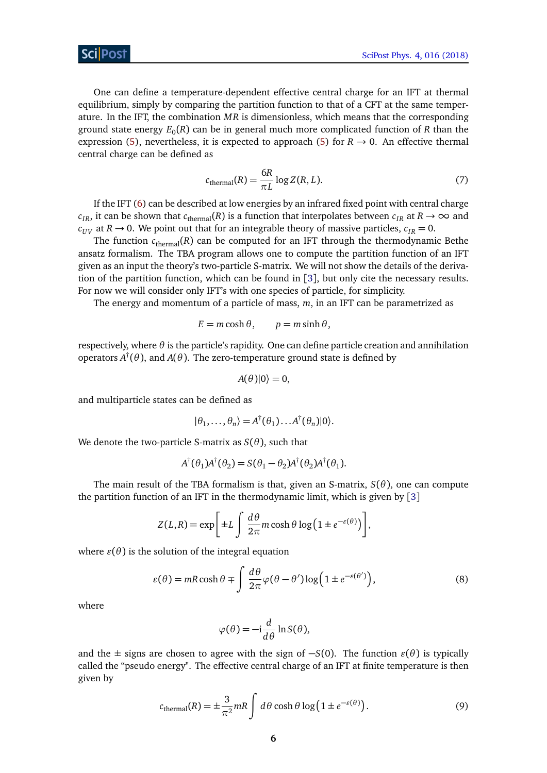One can define a temperature-dependent effective central charge for an IFT at thermal equilibrium, simply by comparing the partition function to that of a CFT at the same temperature. In the IFT, the combination *MR* is dimensionless, which means that the corresponding ground state energy *E*<sup>0</sup> (*R*) can be in general much more complicated function of *R* than the expression [\(5\)](#page-4-1), nevertheless, it is expected to approach (5) for  $R \rightarrow 0$ . An effective thermal central charge can be defined as

$$
c_{\text{thermal}}(R) = \frac{6R}{\pi L} \log Z(R, L). \tag{7}
$$

If the IFT [\(6\)](#page-4-0) can be described at low energies by an infrared fixed point with central charge  $c_{IR}$ , it can be shown that  $c_{\text{thermal}}(R)$  is a function that interpolates between  $c_{IR}$  at  $R \to \infty$  and  $c_{UV}$  at  $R \rightarrow 0$ . We point out that for an integrable theory of massive particles,  $c_{IR} = 0$ .

The function  $c_{\text{thermal}}(R)$  can be computed for an IFT through the thermodynamic Bethe ansatz formalism. The TBA program allows one to compute the partition function of an IFT given as an input the theory's two-particle S-matrix. We will not show the details of the derivation of the partition function, which can be found in [[3](#page-26-2)], but only cite the necessary results. For now we will consider only IFT's with one species of particle, for simplicity.

The energy and momentum of a particle of mass, *m*, in an IFT can be parametrized as

<span id="page-5-0"></span>
$$
E = m \cosh \theta, \qquad p = m \sinh \theta,
$$

respectively, where *θ* is the particle's rapidity. One can define particle creation and annihilation operators *A* † (*θ*), and *A*(*θ*). The zero-temperature ground state is defined by

$$
A(\theta)|0\rangle=0,
$$

and multiparticle states can be defined as

$$
|\theta_1,\ldots,\theta_n\rangle = A^{\dagger}(\theta_1)\ldots A^{\dagger}(\theta_n)|0\rangle.
$$

We denote the two-particle S-matrix as  $S(\theta)$ , such that

$$
A^{\dagger}(\theta_1)A^{\dagger}(\theta_2) = S(\theta_1 - \theta_2)A^{\dagger}(\theta_2)A^{\dagger}(\theta_1).
$$

The main result of the TBA formalism is that, given an S-matrix, *S*(*θ*), one can compute the partition function of an IFT in the thermodynamic limit, which is given by [[3](#page-26-2)]

$$
Z(L,R) = \exp\bigg[\pm L \int \frac{d\theta}{2\pi} m \cosh\theta \log\big(1 \pm e^{-\varepsilon(\theta)}\big)\bigg],
$$

where  $\varepsilon(\theta)$  is the solution of the integral equation

$$
\varepsilon(\theta) = mR \cosh \theta \mp \int \frac{d\theta}{2\pi} \varphi(\theta - \theta') \log \left( 1 \pm e^{-\varepsilon(\theta')} \right),\tag{8}
$$

where

<span id="page-5-1"></span>
$$
\varphi(\theta) = -\mathrm{i}\frac{d}{d\theta}\ln S(\theta),
$$

and the  $\pm$  signs are chosen to agree with the sign of  $-S(0)$ . The function  $\varepsilon(\theta)$  is typically called the "pseudo energy". The effective central charge of an IFT at finite temperature is then given by

$$
c_{\text{thermal}}(R) = \pm \frac{3}{\pi^2} mR \int d\theta \cosh\theta \log\left(1 \pm e^{-\varepsilon(\theta)}\right). \tag{9}
$$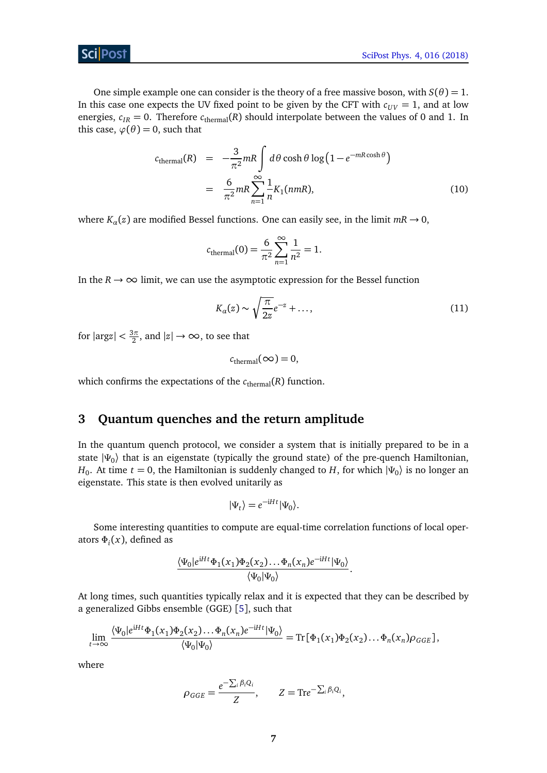

One simple example one can consider is the theory of a free massive boson, with  $S(\theta) = 1$ . In this case one expects the UV fixed point to be given by the CFT with  $c_{UV} = 1$ , and at low energies,  $c_{IR} = 0$ . Therefore  $c_{\text{thermal}}(R)$  should interpolate between the values of 0 and 1. In this case,  $\varphi(\theta) = 0$ , such that

$$
c_{\text{thermal}}(R) = -\frac{3}{\pi^2} mR \int d\theta \cosh\theta \log\left(1 - e^{-mR\cosh\theta}\right)
$$

$$
= \frac{6}{\pi^2} mR \sum_{n=1}^{\infty} \frac{1}{n} K_1(nmR), \tag{10}
$$

where  $K_a(z)$  are modified Bessel functions. One can easily see, in the limit  $mR \rightarrow 0$ ,

<span id="page-6-2"></span>
$$
c_{\text{thermal}}(0) = \frac{6}{\pi^2} \sum_{n=1}^{\infty} \frac{1}{n^2} = 1.
$$

In the  $R \to \infty$  limit, we can use the asymptotic expression for the Bessel function

$$
K_{\alpha}(z) \sim \sqrt{\frac{\pi}{2z}}e^{-z} + \dots,
$$
\n(11)

for  $|\text{arg}z| < \frac{3\pi}{2}$  $\frac{3\pi}{2}$ , and  $|z| \rightarrow \infty$ , to see that

$$
c_{\text{thermal}}(\infty) = 0,
$$

which confirms the expectations of the  $c_{\text{thermal}}(R)$  function.

## <span id="page-6-0"></span>**3 Quantum quenches and the return amplitude**

In the quantum quench protocol, we consider a system that is initially prepared to be in a state |*Ψ*<sup>0</sup> 〉 that is an eigenstate (typically the ground state) of the pre-quench Hamiltonian, *H*<sub>0</sub>. At time *t* = 0, the Hamiltonian is suddenly changed to *H*, for which  $|\Psi_0\rangle$  is no longer an eigenstate. This state is then evolved unitarily as

<span id="page-6-1"></span>
$$
|\Psi_t\rangle = e^{-\mathrm{i} H t} |\Psi_0\rangle.
$$

Some interesting quantities to compute are equal-time correlation functions of local operators *Φ<sup>i</sup>* (*x*), defined as

$$
\frac{\langle \Psi_0 | e^{iHt} \Phi_1(x_1) \Phi_2(x_2) \dots \Phi_n(x_n) e^{-iHt} | \Psi_0 \rangle}{\langle \Psi_0 | \Psi_0 \rangle}.
$$

At long times, such quantities typically relax and it is expected that they can be described by a generalized Gibbs ensemble (GGE) [[5](#page-26-4)], such that

$$
\lim_{t\to\infty}\frac{\langle\Psi_0|e^{\mathrm{i}Ht}\Phi_1(x_1)\Phi_2(x_2)\dots\Phi_n(x_n)e^{-\mathrm{i}Ht}|\Psi_0\rangle}{\langle\Psi_0|\Psi_0\rangle}=\mathrm{Tr}\big[\Phi_1(x_1)\Phi_2(x_2)\dots\Phi_n(x_n)\rho_{GGE}\big],
$$

where

$$
\rho_{GGE} = \frac{e^{-\sum_i \beta_i Q_i}}{Z}, \qquad Z = \text{Tr}e^{-\sum_i \beta_i Q_i},
$$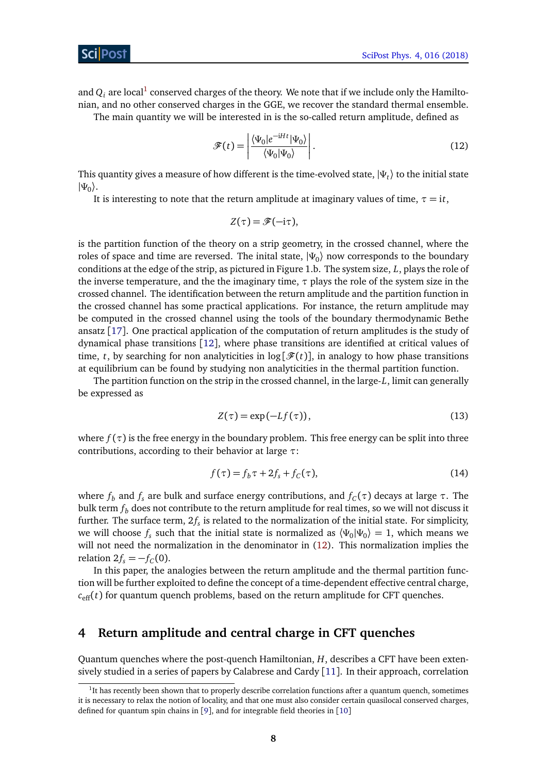and  $Q_i$  are local $^1$  $^1$  conserved charges of the theory. We note that if we include only the Hamiltonian, and no other conserved charges in the GGE, we recover the standard thermal ensemble.

The main quantity we will be interested in is the so-called return amplitude, defined as

$$
\mathcal{F}(t) = \left| \frac{\langle \Psi_0 | e^{-iHt} | \Psi_0 \rangle}{\langle \Psi_0 | \Psi_0 \rangle} \right|.
$$
\n(12)

This quantity gives a measure of how different is the time-evolved state,  $|\Psi_t\rangle$  to the initial state |*Ψ*0 〉.

It is interesting to note that the return amplitude at imaginary values of time,  $\tau = it$ ,

$$
Z(\tau)=\mathscr{F}(-i\tau),
$$

is the partition function of the theory on a strip geometry, in the crossed channel, where the roles of space and time are reversed. The inital state,  $|\Psi_{0}\rangle$  now corresponds to the boundary conditions at the edge of the strip, as pictured in Figure 1.b. The system size, *L*, plays the role of the inverse temperature, and the the imaginary time, *τ* plays the role of the system size in the crossed channel. The identification between the return amplitude and the partition function in the crossed channel has some practical applications. For instance, the return amplitude may be computed in the crossed channel using the tools of the boundary thermodynamic Bethe ansatz [[17](#page-27-1)]. One practical application of the computation of return amplitudes is the study of dynamical phase transitions [[12](#page-27-2)], where phase transitions are identified at critical values of time, *t*, by searching for non analyticities in  $log[\mathcal{F}(t)]$ , in analogy to how phase transitions at equilibrium can be found by studying non analyticities in the thermal partition function.

The partition function on the strip in the crossed channel, in the large-*L*, limit can generally be expressed as

$$
Z(\tau) = \exp(-Lf(\tau)),\tag{13}
$$

where  $f(\tau)$  is the free energy in the boundary problem. This free energy can be split into three contributions, according to their behavior at large *τ*:

<span id="page-7-2"></span>
$$
f(\tau) = f_b \tau + 2f_s + f_C(\tau), \qquad (14)
$$

where  $f_b$  and  $f_s$  are bulk and surface energy contributions, and  $f_C(\tau)$  decays at large  $\tau$ . The bulk term *f<sup>b</sup>* does not contribute to the return amplitude for real times, so we will not discuss it further. The surface term,  $2f_s$  is related to the normalization of the initial state. For simplicity, we will choose  $f_s$  such that the initial state is normalized as  $\langle \Psi_0 | \Psi_0 \rangle = 1$ , which means we will not need the normalization in the denominator in [\(12\)](#page-6-1). This normalization implies the relation  $2f_s = -f_C(0)$ .

In this paper, the analogies between the return amplitude and the thermal partition function will be further exploited to define the concept of a time-dependent effective central charge,  $c_{\text{eff}}(t)$  for quantum quench problems, based on the return amplitude for CFT quenches.

#### <span id="page-7-0"></span>**4 Return amplitude and central charge in CFT quenches**

Quantum quenches where the post-quench Hamiltonian, *H*, describes a CFT have been extensively studied in a series of papers by Calabrese and Cardy  $[11]$  $[11]$  $[11]$ . In their approach, correlation

<span id="page-7-1"></span><sup>&</sup>lt;sup>1</sup>It has recently been shown that to properly describe correlation functions after a quantum quench, sometimes it is necessary to relax the notion of locality, and that one must also consider certain quasilocal conserved charges, defined for quantum spin chains in [[9](#page-27-4)], and for integrable field theories in [[10](#page-27-5)]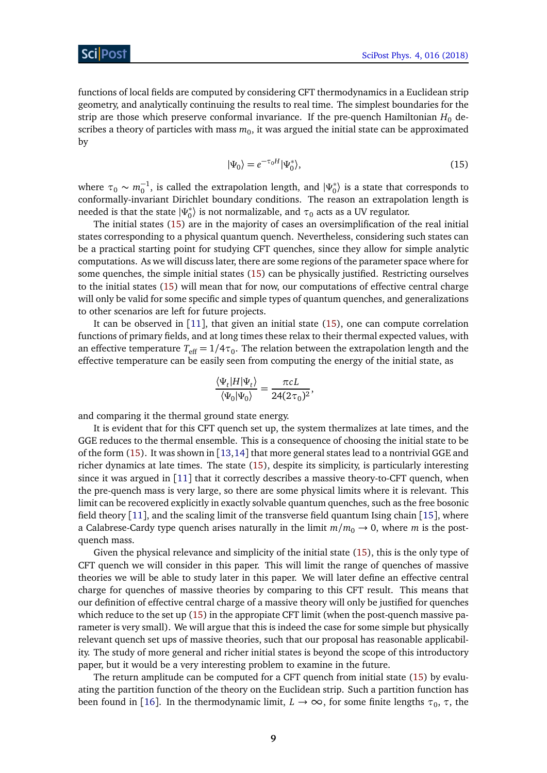functions of local fields are computed by considering CFT thermodynamics in a Euclidean strip geometry, and analytically continuing the results to real time. The simplest boundaries for the strip are those which preserve conformal invariance. If the pre-quench Hamiltonian  $H_0$  describes a theory of particles with mass  $m_0$ , it was argued the initial state can be approximated by

<span id="page-8-0"></span>
$$
|\Psi_0\rangle = e^{-\tau_0 H} |\Psi_0^*\rangle,\tag{15}
$$

where  $\tau_0 \sim m_0^{-1}$ , is called the extrapolation length, and  $|\Psi_0^*|$  $\binom{*}{0}$  is a state that corresponds to conformally-invariant Dirichlet boundary conditions. The reason an extrapolation length is needed is that the state |*Ψ* ∗  $\binom{*}{0}$  is not normalizable, and  $\tau_0$  acts as a UV regulator.

The initial states [\(15\)](#page-8-0) are in the majority of cases an oversimplification of the real initial states corresponding to a physical quantum quench. Nevertheless, considering such states can be a practical starting point for studying CFT quenches, since they allow for simple analytic computations. As we will discuss later, there are some regions of the parameter space where for some quenches, the simple initial states [\(15\)](#page-8-0) can be physically justified. Restricting ourselves to the initial states [\(15\)](#page-8-0) will mean that for now, our computations of effective central charge will only be valid for some specific and simple types of quantum quenches, and generalizations to other scenarios are left for future projects.

It can be observed in  $[11]$  $[11]$  $[11]$ , that given an initial state  $(15)$ , one can compute correlation functions of primary fields, and at long times these relax to their thermal expected values, with an effective temperature  $T_{\rm eff}$   $=$   $1/4\tau_0.$  The relation between the extrapolation length and the effective temperature can be easily seen from computing the energy of the initial state, as

,

<span id="page-8-1"></span>
$$
\frac{\langle \Psi_t | H | \Psi_t \rangle}{\langle \Psi_0 | \Psi_0 \rangle} = \frac{\pi c L}{24 (2 \tau_0)^2}
$$

and comparing it the thermal ground state energy.

It is evident that for this CFT quench set up, the system thermalizes at late times, and the GGE reduces to the thermal ensemble. This is a consequence of choosing the initial state to be of the form  $(15)$ . It was shown in  $[13,14]$  $[13,14]$  $[13,14]$  $[13,14]$  that more general states lead to a nontrivial GGE and richer dynamics at late times. The state [\(15\)](#page-8-0), despite its simplicity, is particularly interesting since it was argued in [[11](#page-27-3)] that it correctly describes a massive theory-to-CFT quench, when the pre-quench mass is very large, so there are some physical limits where it is relevant. This limit can be recovered explicitly in exactly solvable quantum quenches, such as the free bosonic field theory [[11](#page-27-3)], and the scaling limit of the transverse field quantum Ising chain [[15](#page-27-8)], where a Calabrese-Cardy type quench arises naturally in the limit  $m/m_0 \rightarrow 0$ , where *m* is the postquench mass.

Given the physical relevance and simplicity of the initial state [\(15\)](#page-8-0), this is the only type of CFT quench we will consider in this paper. This will limit the range of quenches of massive theories we will be able to study later in this paper. We will later define an effective central charge for quenches of massive theories by comparing to this CFT result. This means that our definition of effective central charge of a massive theory will only be justified for quenches which reduce to the set up [\(15\)](#page-8-0) in the appropiate CFT limit (when the post-quench massive parameter is very small). We will argue that this is indeed the case for some simple but physically relevant quench set ups of massive theories, such that our proposal has reasonable applicability. The study of more general and richer initial states is beyond the scope of this introductory paper, but it would be a very interesting problem to examine in the future.

The return amplitude can be computed for a CFT quench from initial state [\(15\)](#page-8-0) by evaluating the partition function of the theory on the Euclidean strip. Such a partition function has been found in [[16](#page-27-9)]. In the thermodynamic limit,  $L \to \infty$ , for some finite lengths  $\tau_0$ ,  $\tau$ , the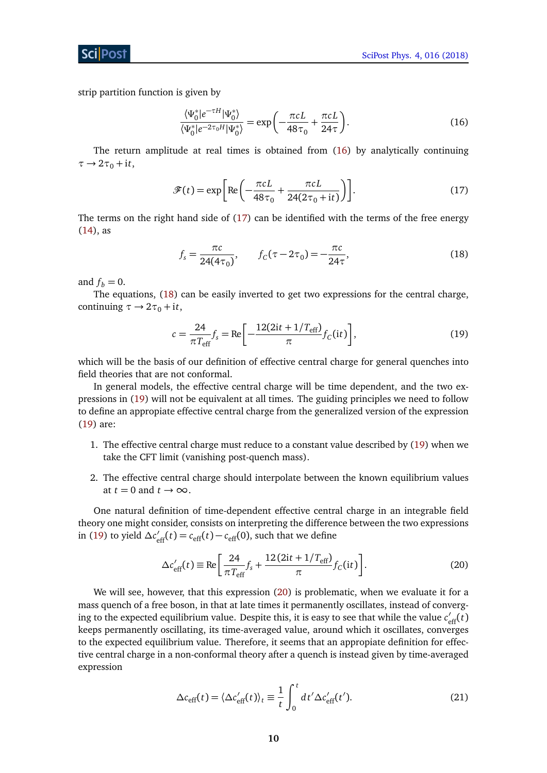strip partition function is given by

$$
\frac{\langle \Psi_0^* | e^{-\tau H} | \Psi_0^* \rangle}{\langle \Psi_0^* | e^{-2\tau_0 H} | \Psi_0^* \rangle} = \exp\left(-\frac{\pi c L}{48\tau_0} + \frac{\pi c L}{24\tau}\right).
$$
\n(16)

The return amplitude at real times is obtained from [\(16\)](#page-8-1) by analytically continuing  $\tau \rightarrow 2\tau_0 + i t$ ,

<span id="page-9-0"></span>
$$
\mathcal{F}(t) = \exp\left[\text{Re}\left(-\frac{\pi cL}{48\tau_0} + \frac{\pi cL}{24(2\tau_0 + \text{i}t)}\right)\right].\tag{17}
$$

The terms on the right hand side of [\(17\)](#page-9-0) can be identified with the terms of the free energy [\(14\)](#page-7-2), as

<span id="page-9-1"></span>
$$
f_s = \frac{\pi c}{24(4\tau_0)}, \qquad f_C(\tau - 2\tau_0) = -\frac{\pi c}{24\tau}, \tag{18}
$$

and  $f_b = 0$ .

The equations, [\(18\)](#page-9-1) can be easily inverted to get two expressions for the central charge, continuing  $\tau \rightarrow 2\tau_0 + i t$ ,

<span id="page-9-2"></span>
$$
c = \frac{24}{\pi T_{\text{eff}}} f_s = \text{Re} \left[ -\frac{12(2it + 1/T_{\text{eff}})}{\pi} f_C(it) \right],
$$
(19)

which will be the basis of our definition of effective central charge for general quenches into field theories that are not conformal.

In general models, the effective central charge will be time dependent, and the two expressions in [\(19\)](#page-9-2) will not be equivalent at all times. The guiding principles we need to follow to define an appropiate effective central charge from the generalized version of the expression [\(19\)](#page-9-2) are:

- 1. The effective central charge must reduce to a constant value described by [\(19\)](#page-9-2) when we take the CFT limit (vanishing post-quench mass).
- 2. The effective central charge should interpolate between the known equilibrium values at  $t = 0$  and  $t \rightarrow \infty$ .

One natural definition of time-dependent effective central charge in an integrable field theory one might consider, consists on interpreting the difference between the two expressions in [\(19\)](#page-9-2) to yield  $\Delta c'_{\text{eff}}(t) = c_{\text{eff}}(t) - c_{\text{eff}}(0)$ , such that we define

<span id="page-9-3"></span>
$$
\Delta c'_{\text{eff}}(t) \equiv \text{Re}\left[\frac{24}{\pi T_{\text{eff}}} f_s + \frac{12(2\text{i}t + 1/T_{\text{eff}})}{\pi} f_C(\text{i}t)\right].\tag{20}
$$

We will see, however, that this expression [\(20\)](#page-9-3) is problematic, when we evaluate it for a mass quench of a free boson, in that at late times it permanently oscillates, instead of converging to the expected equilibrium value. Despite this, it is easy to see that while the value  $c'_{\text{eff}}(t)$ keeps permanently oscillating, its time-averaged value, around which it oscillates, converges to the expected equilibrium value. Therefore, it seems that an appropiate definition for effective central charge in a non-conformal theory after a quench is instead given by time-averaged expression

<span id="page-9-4"></span>
$$
\Delta c_{\rm eff}(t) = \langle \Delta c'_{\rm eff}(t) \rangle_t \equiv \frac{1}{t} \int_0^t dt' \Delta c'_{\rm eff}(t'). \tag{21}
$$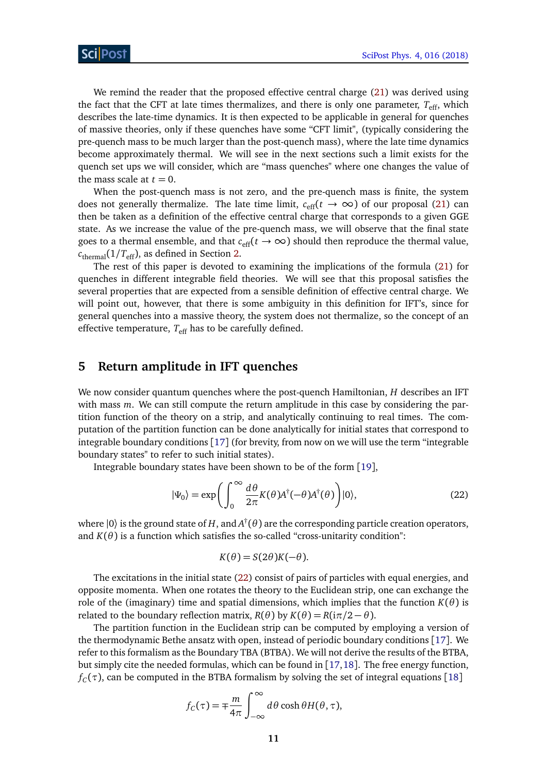We remind the reader that the proposed effective central charge [\(21\)](#page-9-4) was derived using the fact that the CFT at late times thermalizes, and there is only one parameter,  $T_{\text{eff}}$ , which describes the late-time dynamics. It is then expected to be applicable in general for quenches of massive theories, only if these quenches have some "CFT limit", (typically considering the pre-quench mass to be much larger than the post-quench mass), where the late time dynamics become approximately thermal. We will see in the next sections such a limit exists for the quench set ups we will consider, which are "mass quenches" where one changes the value of the mass scale at  $t = 0$ .

When the post-quench mass is not zero, and the pre-quench mass is finite, the system does not generally thermalize. The late time limit,  $c_{\text{eff}}(t \to \infty)$  of our proposal [\(21\)](#page-9-4) can then be taken as a definition of the effective central charge that corresponds to a given GGE state. As we increase the value of the pre-quench mass, we will observe that the final state goes to a thermal ensemble, and that  $c_{\text{eff}}(t \to \infty)$  should then reproduce the thermal value,  $c_{\text{thermal}}(1/T_{\text{eff}})$ , as defined in Section [2.](#page-3-0)

The rest of this paper is devoted to examining the implications of the formula [\(21\)](#page-9-4) for quenches in different integrable field theories. We will see that this proposal satisfies the several properties that are expected from a sensible definition of effective central charge. We will point out, however, that there is some ambiguity in this definition for IFT's, since for general quenches into a massive theory, the system does not thermalize, so the concept of an effective temperature,  $T_{\text{eff}}$  has to be carefully defined.

#### <span id="page-10-0"></span>**5 Return amplitude in IFT quenches**

We now consider quantum quenches where the post-quench Hamiltonian, *H* describes an IFT with mass *m*. We can still compute the return amplitude in this case by considering the partition function of the theory on a strip, and analytically continuing to real times. The computation of the partition function can be done analytically for initial states that correspond to integrable boundary conditions [[17](#page-27-1)] (for brevity, from now on we will use the term "integrable boundary states" to refer to such initial states).

Integrable boundary states have been shown to be of the form [[19](#page-28-0)],

<span id="page-10-1"></span>
$$
|\Psi_0\rangle = \exp\left(\int_0^\infty \frac{d\theta}{2\pi} K(\theta) A^\dagger(-\theta) A^\dagger(\theta)\right)|0\rangle,\tag{22}
$$

where  $|0\rangle$  is the ground state of  $H$ , and  $A^\dagger(\theta)$  are the corresponding particle creation operators, and  $K(\theta)$  is a function which satisfies the so-called "cross-unitarity condition":

<span id="page-10-2"></span>
$$
K(\theta) = S(2\theta)K(-\theta).
$$

The excitations in the initial state [\(22\)](#page-10-1) consist of pairs of particles with equal energies, and opposite momenta. When one rotates the theory to the Euclidean strip, one can exchange the role of the (imaginary) time and spatial dimensions, which implies that the function  $K(\theta)$  is related to the boundary reflection matrix,  $R(\theta)$  by  $K(\theta) = R(i\pi/2 - \theta)$ .

The partition function in the Euclidean strip can be computed by employing a version of the thermodynamic Bethe ansatz with open, instead of periodic boundary conditions [[17](#page-27-1)]. We refer to this formalism as the Boundary TBA (BTBA). We will not derive the results of the BTBA, but simply cite the needed formulas, which can be found in [[17,](#page-27-1)[18](#page-27-10)]. The free energy function,  $f_C(\tau)$ , can be computed in the BTBA formalism by solving the set of integral equations [[18](#page-27-10)]

$$
f_C(\tau) = \mp \frac{m}{4\pi} \int_{-\infty}^{\infty} d\theta \cosh \theta H(\theta, \tau),
$$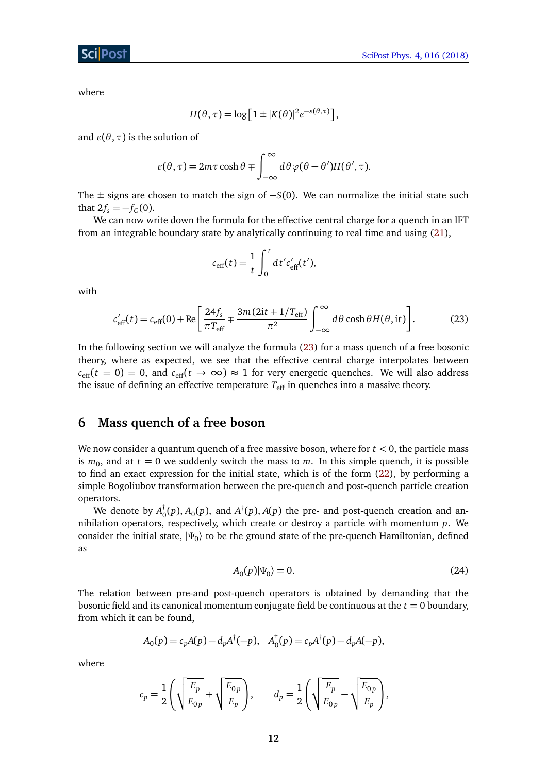where

$$
H(\theta, \tau) = \log \left[ 1 \pm |K(\theta)|^2 e^{-\varepsilon(\theta, \tau)} \right],
$$

and  $\varepsilon(\theta, \tau)$  is the solution of

$$
\varepsilon(\theta,\tau) = 2m\tau\cosh\theta \pm \int_{-\infty}^{\infty} d\theta \varphi(\theta-\theta')H(\theta',\tau).
$$

The  $\pm$  signs are chosen to match the sign of  $-S(0)$ . We can normalize the initial state such that  $2f_s = -f_c(0)$ .

We can now write down the formula for the effective central charge for a quench in an IFT from an integrable boundary state by analytically continuing to real time and using [\(21\)](#page-9-4),

$$
c_{\text{eff}}(t) = \frac{1}{t} \int_0^t dt' c'_{\text{eff}}(t'),
$$

with

$$
c'_{\text{eff}}(t) = c_{\text{eff}}(0) + \text{Re}\left[\frac{24f_s}{\pi T_{\text{eff}}} \mp \frac{3m(2it + 1/T_{\text{eff}})}{\pi^2} \int_{-\infty}^{\infty} d\theta \cosh\theta H(\theta, it)\right].
$$
 (23)

In the following section we will analyze the formula [\(23\)](#page-10-2) for a mass quench of a free bosonic theory, where as expected, we see that the effective central charge interpolates between  $c_{\text{eff}}(t = 0) = 0$ , and  $c_{\text{eff}}(t \rightarrow \infty) \approx 1$  for very energetic quenches. We will also address the issue of defining an effective temperature  $T_{\text{eff}}$  in quenches into a massive theory.

## <span id="page-11-0"></span>**6 Mass quench of a free boson**

We now consider a quantum quench of a free massive boson, where for  $t < 0$ , the particle mass is  $m_0$ , and at  $t=0$  we suddenly switch the mass to  $m$ . In this simple quench, it is possible to find an exact expression for the initial state, which is of the form [\(22\)](#page-10-1), by performing a simple Bogoliubov transformation between the pre-quench and post-quench particle creation operators.

We denote by *A* †  $\int_0^{\uparrow}(p)$ , *A*<sub>0</sub> $(p)$ , and *A*<sup> $\uparrow$ </sup>( $p$ ), *A*( $p$ ) the pre- and post-quench creation and annihilation operators, respectively, which create or destroy a particle with momentum *p*. We consider the initial state, |*Ψ*<sup>0</sup> 〉 to be the ground state of the pre-quench Hamiltonian, defined as

<span id="page-11-1"></span>
$$
A_0(p)|\Psi_0\rangle = 0.\tag{24}
$$

The relation between pre-and post-quench operators is obtained by demanding that the bosonic field and its canonical momentum conjugate field be continuous at the  $t = 0$  boundary, from which it can be found,

<span id="page-11-2"></span>
$$
A_0(p) = c_p A(p) - d_p A^{\dagger}(-p), \quad A_0^{\dagger}(p) = c_p A^{\dagger}(p) - d_p A(-p),
$$

where

$$
c_p = \frac{1}{2} \left( \sqrt{\frac{E_p}{E_{0p}}} + \sqrt{\frac{E_{0p}}{E_p}} \right), \qquad d_p = \frac{1}{2} \left( \sqrt{\frac{E_p}{E_{0p}}} - \sqrt{\frac{E_{0p}}{E_p}} \right),
$$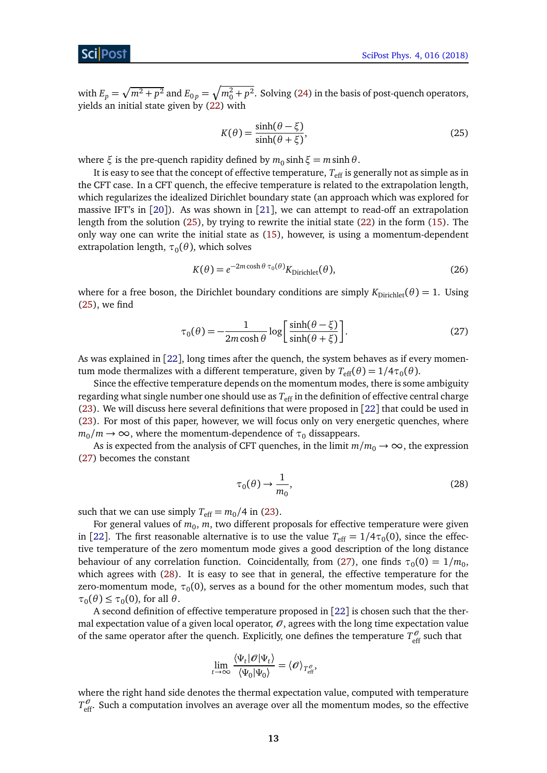with  $E_p = \sqrt{m^2 + p^2}$  and  $E_{0p} = \sqrt{m_0^2 + p^2}$ . Solving [\(24\)](#page-11-1) in the basis of post-quench operators, yields an initial state given by [\(22\)](#page-10-1) with

$$
K(\theta) = \frac{\sinh(\theta - \xi)}{\sinh(\theta + \xi)},
$$
\n(25)

where  $\xi$  is the pre-quench rapidity defined by  $m_0 \sinh \xi = m \sinh \theta$ .

It is easy to see that the concept of effective temperature,  $T_{\text{eff}}$  is generally not as simple as in the CFT case. In a CFT quench, the effecive temperature is related to the extrapolation length, which regularizes the idealized Dirichlet boundary state (an approach which was explored for massive IFT's in [[20](#page-28-1)]). As was shown in [[21](#page-28-2)], we can attempt to read-off an extrapolation length from the solution [\(25\)](#page-11-2), by trying to rewrite the initial state [\(22\)](#page-10-1) in the form [\(15\)](#page-8-0). The only way one can write the initial state as [\(15\)](#page-8-0), however, is using a momentum-dependent extrapolation length,  $\tau_{0}(\theta)$ , which solves

$$
K(\theta) = e^{-2m\cosh\theta \tau_0(\theta)} K_{\text{Dirichlet}}(\theta),\tag{26}
$$

where for a free boson, the Dirichlet boundary conditions are simply  $K_{Dirichlet}(\theta) = 1$ . Using [\(25\)](#page-11-2), we find

<span id="page-12-0"></span>
$$
\tau_0(\theta) = -\frac{1}{2m\cosh\theta} \log \left[ \frac{\sinh(\theta - \xi)}{\sinh(\theta + \xi)} \right].
$$
 (27)

As was explained in [[22](#page-28-3)], long times after the quench, the system behaves as if every momentum mode thermalizes with a different temperature, given by  $T_{\text{eff}}(\theta)$  = 1/4 $\tau_{0}(\theta)$ .

Since the effective temperature depends on the momentum modes, there is some ambiguity regarding what single number one should use as  $T_{\text{eff}}$  in the definition of effective central charge [\(23\)](#page-10-2). We will discuss here several definitions that were proposed in [[22](#page-28-3)] that could be used in [\(23\)](#page-10-2). For most of this paper, however, we will focus only on very energetic quenches, where  $m_0/m \rightarrow \infty$ , where the momentum-dependence of  $\tau_0$  dissappears.

As is expected from the analysis of CFT quenches, in the limit  $m/m_0 \rightarrow \infty$ , the expression [\(27\)](#page-12-0) becomes the constant

<span id="page-12-1"></span>
$$
\tau_0(\theta) \to \frac{1}{m_0},\tag{28}
$$

such that we can use simply  $T_{\text{eff}} = m_0/4$  in [\(23\)](#page-10-2).

For general values of  $m_0$ ,  $m$ , two different proposals for effective temperature were given in [[22](#page-28-3)]. The first reasonable alternative is to use the value  $T_{\rm eff} = 1/4 \tau_0(0)$ , since the effective temperature of the zero momentum mode gives a good description of the long distance behaviour of any correlation function. Coincidentally, from [\(27\)](#page-12-0), one finds  $\tau_0(0) = 1/m_0$ , which agrees with [\(28\)](#page-12-1). It is easy to see that in general, the effective temperature for the  $\alpha$ zero-momentum mode,  $\tau_0(0)$ , serves as a bound for the other momentum modes, such that  $\tau_0(\theta) \leq \tau_0(0)$ , for all  $\theta$ .

A second definition of effective temperature proposed in [[22](#page-28-3)] is chosen such that the thermal expectation value of a given local operator,  $\mathcal{O}$ , agrees with the long time expectation value of the same operator after the quench. Explicitly, one defines the temperature  $T_{\text{eff}}^{\theta}$  such that

$$
\lim_{t\to\infty}\frac{\langle\Psi_t|\mathscr{O}|\Psi_t\rangle}{\langle\Psi_0|\Psi_0\rangle}=\langle\mathscr{O}\rangle_{T_{\rm eff}^\mathscr{O}},
$$

where the right hand side denotes the thermal expectation value, computed with temperature  $T_{\text{eff}}^{\theta}$ . Such a computation involves an average over all the momentum modes, so the effective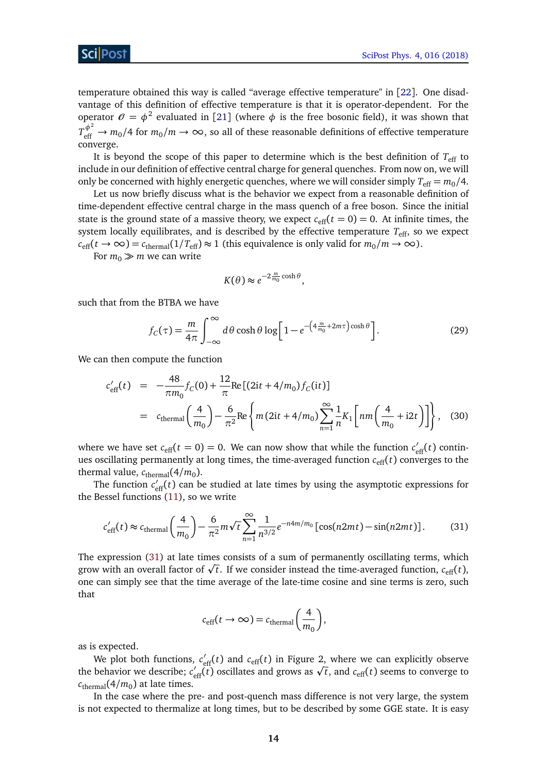Sci Post

temperature obtained this way is called "average effective temperature" in [[22](#page-28-3)]. One disadvantage of this definition of effective temperature is that it is operator-dependent. For the operator  $\theta = \phi^2$  evaluated in [[21](#page-28-2)] (where  $\phi$  is the free bosonic field), it was shown that  $T_{\text{eff}}^{\phi^2} \to m_0/4$  for  $m_0/m \to \infty$ , so all of these reasonable definitions of effective temperature converge.

It is beyond the scope of this paper to determine which is the best definition of  $T_{\text{eff}}$  to include in our definition of effective central charge for general quenches. From now on, we will only be concerned with highly energetic quenches, where we will consider simply  $T_{\text{eff}} = m_0/4$ .

Let us now briefly discuss what is the behavior we expect from a reasonable definition of time-dependent effective central charge in the mass quench of a free boson. Since the initial state is the ground state of a massive theory, we expect  $c_{\text{eff}}(t = 0) = 0$ . At infinite times, the system locally equilibrates, and is described by the effective temperature  $T_{\text{eff}}$ , so we expect  $c_{\text{eff}}(t \to \infty) = c_{\text{thermal}}(1/T_{\text{eff}}) \approx 1$  (this equivalence is only valid for  $m_0/m \to \infty$ ).

For  $m_0 \gg m$  we can write

$$
K(\theta) \approx e^{-2\frac{m}{m_0}\cosh\theta},
$$

such that from the BTBA we have

$$
f_C(\tau) = \frac{m}{4\pi} \int_{-\infty}^{\infty} d\theta \cosh\theta \log\left[1 - e^{-\left(4\frac{m}{m_0} + 2m\tau\right)\cosh\theta}\right].
$$
 (29)

We can then compute the function

$$
c'_{\text{eff}}(t) = -\frac{48}{\pi m_0} f_C(0) + \frac{12}{\pi} \text{Re} \left[ (2it + 4/m_0) f_C(it) \right]
$$
  
=  $c_{\text{thermal}} \left( \frac{4}{m_0} \right) - \frac{6}{\pi^2} \text{Re} \left\{ m (2it + 4/m_0) \sum_{n=1}^{\infty} \frac{1}{n} K_1 \left[ nm \left( \frac{4}{m_0} + i2t \right) \right] \right\},$  (30)

where we have set  $c_{\text{eff}}(t=0) = 0$ . We can now show that while the function  $c'_{\text{eff}}(t)$  continues oscillating permanently at long times, the time-averaged function  $c_{\text{eff}}(t)$  converges to the thermal value,  $c_{\text{thermal}}(4/m_0)$ .

The function  $c'_{\text{eff}}(t)$  can be studied at late times by using the asymptotic expressions for the Bessel functions [\(11\)](#page-6-2), so we write

<span id="page-13-0"></span>
$$
c'_{\text{eff}}(t) \approx c_{\text{thermal}}\left(\frac{4}{m_0}\right) - \frac{6}{\pi^2}m\sqrt{t}\sum_{n=1}^{\infty}\frac{1}{n^{3/2}}e^{-n4m/m_0}\left[\cos(n2mt) - \sin(n2mt)\right].\tag{31}
$$

The expression [\(31\)](#page-13-0) at late times consists of a sum of permanently oscillating terms, which The expression (31) at late times consists of a sum of permanently oscillating terms, which<br>grow with an overall factor of  $\sqrt{t}$ . If we consider instead the time-averaged function,  $c_{\text{eff}}(t)$ , one can simply see that the time average of the late-time cosine and sine terms is zero, such that

$$
c_{\text{eff}}(t \to \infty) = c_{\text{thermal}}\left(\frac{4}{m_0}\right),
$$

as is expected.

We plot both functions,  $c'_{\text{eff}}(t)$  and  $c_{\text{eff}}(t)$  in Figure 2, where we can explicitly observe we plot both functions,  $c_{\text{eff}}(t)$  and  $c_{\text{eff}}(t)$  in Figure 2, where we can explicitly observe<br>the behavior we describe;  $c'_{\text{eff}}(t)$  oscillates and grows as  $\sqrt{t}$ , and  $c_{\text{eff}}(t)$  seems to converge to  $c_{\rm thermal}$ (4/ $m_0$ ) at late times.

In the case where the pre- and post-quench mass difference is not very large, the system is not expected to thermalize at long times, but to be described by some GGE state. It is easy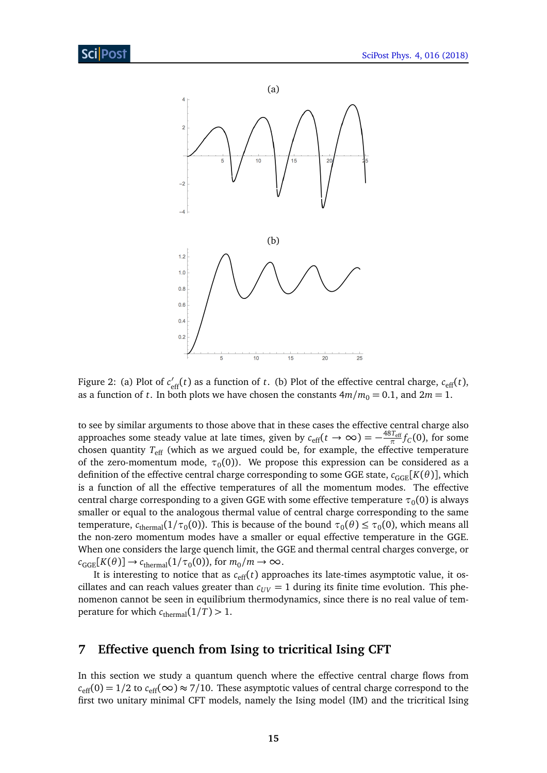

Figure 2: (a) Plot of  $c'_{\text{eff}}(t)$  as a function of *t*. (b) Plot of the effective central charge,  $c_{\text{eff}}(t)$ , as a function of *t*. In both plots we have chosen the constants  $4m/m_0 = 0.1$ , and  $2m = 1$ .

to see by similar arguments to those above that in these cases the effective central charge also approaches some steady value at late times, given by  $c_{\text{eff}}(t \to \infty) = -\frac{48T_{\text{eff}}}{\pi} f_C(0)$ , for some chosen quantity *T*eff (which as we argued could be, for example, the effective temperature of the zero-momentum mode,  $\tau_0(0)$ ). We propose this expression can be considered as a definition of the effective central charge corresponding to some GGE state,  $c_{GGE}[K(\theta)]$ , which is a function of all the effective temperatures of all the momentum modes. The effective central charge corresponding to a given GGE with some effective temperature  $\tau_{0}(0)$  is always smaller or equal to the analogous thermal value of central charge corresponding to the same temperature,  $c_{\text{thermal}}(1/\tau_0(0))$ . This is because of the bound  $\tau_0(\theta) \leq \tau_0(0)$ , which means all the non-zero momentum modes have a smaller or equal effective temperature in the GGE. When one considers the large quench limit, the GGE and thermal central charges converge, or  $c_{GGE}[K(\theta)] \rightarrow c_{\text{thermal}}(1/\tau_0(0))$ , for  $m_0/m \rightarrow \infty$ .

It is interesting to notice that as  $c_{\text{eff}}(t)$  approaches its late-times asymptotic value, it oscillates and can reach values greater than  $c_{UV} = 1$  during its finite time evolution. This phenomenon cannot be seen in equilibrium thermodynamics, since there is no real value of temperature for which  $c_{\text{thermal}}(1/T) > 1$ .

## <span id="page-14-0"></span>**7 Effective quench from Ising to tricritical Ising CFT**

In this section we study a quantum quench where the effective central charge flows from  $c_{\text{eff}}(0) = 1/2$  to  $c_{\text{eff}}(\infty) \approx 7/10$ . These asymptotic values of central charge correspond to the first two unitary minimal CFT models, namely the Ising model (IM) and the tricritical Ising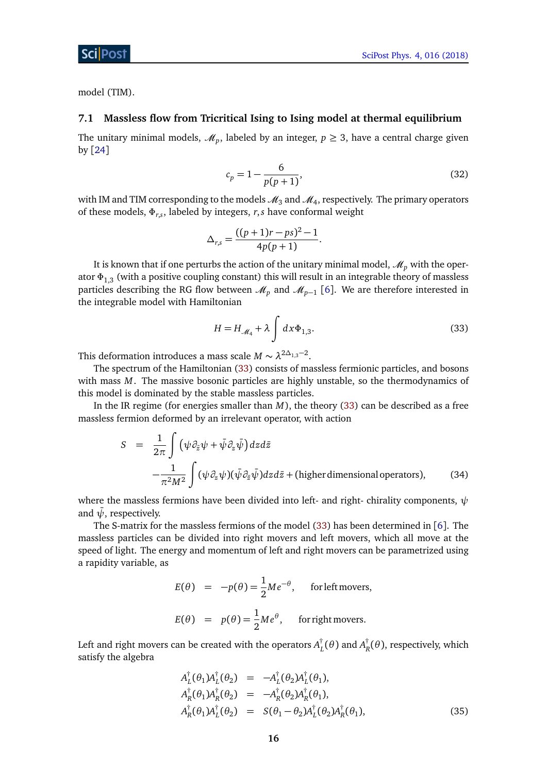model (TIM).

#### <span id="page-15-0"></span>**7.1 Massless flow from Tricritical Ising to Ising model at thermal equilibrium**

The unitary minimal models,  $\mathcal{M}_p$ , labeled by an integer,  $p \geq 3$ , have a central charge given by [[24](#page-28-4)]

<span id="page-15-2"></span>
$$
c_p = 1 - \frac{6}{p(p+1)},
$$
\n(32)

with IM and TIM corresponding to the models  $\mathscr{M}_3$  and  $\mathscr{M}_4$ , respectively. The primary operators of these models, *Φr*,*<sup>s</sup>* , labeled by integers, *r*,*s* have conformal weight

<span id="page-15-1"></span>
$$
\Delta_{r,s} = \frac{((p+1)r - ps)^2 - 1}{4p(p+1)}.
$$

It is known that if one perturbs the action of the unitary minimal model,  $\mathcal{M}_p$  with the operator *Φ*1,3 (with a positive coupling constant) this will result in an integrable theory of massless particles describing the RG flow between  $\mathscr{M}_p$  and  $\mathscr{M}_{p-1}$  [[6](#page-26-5)]. We are therefore interested in the integrable model with Hamiltonian

$$
H = H_{\mathcal{M}_4} + \lambda \int dx \Phi_{1,3}.
$$
 (33)

This deformation introduces a mass scale  $M \sim \lambda^{2\Delta_{1,3}-2}$ .

The spectrum of the Hamiltonian [\(33\)](#page-15-1) consists of massless fermionic particles, and bosons with mass *M*. The massive bosonic particles are highly unstable, so the thermodynamics of this model is dominated by the stable massless particles.

In the IR regime (for energies smaller than *M*), the theory [\(33\)](#page-15-1) can be described as a free massless fermion deformed by an irrelevant operator, with action

$$
S = \frac{1}{2\pi} \int (\psi \partial_{\tilde{z}} \psi + \bar{\psi} \partial_z \bar{\psi}) dz d\bar{z}
$$
  
 
$$
- \frac{1}{\pi^2 M^2} \int (\psi \partial_z \psi)(\bar{\psi} \partial_{\tilde{z}} \bar{\psi}) dz d\bar{z} + (\text{higher dimensional operators}), \qquad (34)
$$

where the massless fermions have been divided into left- and right- chirality components, *ψ* and  $\psi$ , respectively.

The S-matrix for the massless fermions of the model [\(33\)](#page-15-1) has been determined in [[6](#page-26-5)]. The massless particles can be divided into right movers and left movers, which all move at the speed of light. The energy and momentum of left and right movers can be parametrized using a rapidity variable, as

$$
E(\theta) = -p(\theta) = \frac{1}{2}Me^{-\theta}, \text{ for left movers,}
$$
  

$$
E(\theta) = p(\theta) = \frac{1}{2}Me^{\theta}, \text{ for right movers.}
$$

Left and right movers can be created with the operators  $A_I^\dagger$  $L^{\dagger}(\theta)$  and  $A_{I}^{\dagger}$  $R_R^{\dagger}(\theta)$ , respectively, which satisfy the algebra

$$
A_{L}^{\dagger}(\theta_{1})A_{L}^{\dagger}(\theta_{2}) = -A_{L}^{\dagger}(\theta_{2})A_{L}^{\dagger}(\theta_{1}),
$$
  
\n
$$
A_{R}^{\dagger}(\theta_{1})A_{R}^{\dagger}(\theta_{2}) = -A_{R}^{\dagger}(\theta_{2})A_{R}^{\dagger}(\theta_{1}),
$$
  
\n
$$
A_{R}^{\dagger}(\theta_{1})A_{L}^{\dagger}(\theta_{2}) = S(\theta_{1} - \theta_{2})A_{L}^{\dagger}(\theta_{2})A_{R}^{\dagger}(\theta_{1}),
$$
\n(35)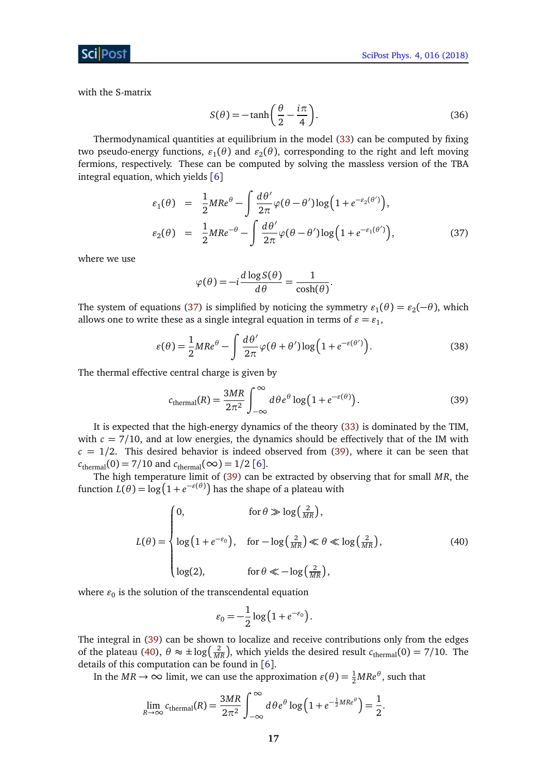with the S-matrix

$$
S(\theta) = -\tanh\left(\frac{\theta}{2} - \frac{i\pi}{4}\right). \tag{36}
$$

Thermodynamical quantities at equilibrium in the model [\(33\)](#page-15-1) can be computed by fixing two pseudo-energy functions,  $\varepsilon_1(\theta)$  and  $\varepsilon_2(\theta)$ , corresponding to the right and left moving fermions, respectively. These can be computed by solving the massless version of the TBA integral equation, which yields [[6](#page-26-5)]

<span id="page-16-0"></span>
$$
\varepsilon_1(\theta) = \frac{1}{2}MR e^{\theta} - \int \frac{d\theta'}{2\pi} \varphi(\theta - \theta') \log\left(1 + e^{-\varepsilon_2(\theta')}\right),
$$
  

$$
\varepsilon_2(\theta) = \frac{1}{2}MR e^{-\theta} - \int \frac{d\theta'}{2\pi} \varphi(\theta - \theta') \log\left(1 + e^{-\varepsilon_1(\theta')}\right),
$$
 (37)

where we use

$$
\varphi(\theta) = -i \frac{d \log S(\theta)}{d \theta} = \frac{1}{\cosh(\theta)}.
$$

The system of equations [\(37\)](#page-16-0) is simplified by noticing the symmetry  $\varepsilon_1(\theta) = \varepsilon_2(-\theta)$ , which allows one to write these as a single integral equation in terms of  $\varepsilon = \varepsilon_1$ ,

$$
\varepsilon(\theta) = \frac{1}{2}MR e^{\theta} - \int \frac{d\theta'}{2\pi} \varphi(\theta + \theta') \log(1 + e^{-\varepsilon(\theta')}).
$$
\n(38)

The thermal effective central charge is given by

<span id="page-16-1"></span>
$$
c_{\text{thermal}}(R) = \frac{3MR}{2\pi^2} \int_{-\infty}^{\infty} d\theta e^{\theta} \log(1 + e^{-\varepsilon(\theta)}) \,. \tag{39}
$$

It is expected that the high-energy dynamics of the theory [\(33\)](#page-15-1) is dominated by the TIM, with  $c = 7/10$ , and at low energies, the dynamics should be effectively that of the IM with  $c = 1/2$ . This desired behavior is indeed observed from [\(39\)](#page-16-1), where it can be seen that  $c_{\text{thermal}}(0) = 7/10$  and  $c_{\text{thermal}}(\infty) = 1/2$  [[6](#page-26-5)].

The high temperature limit of [\(39\)](#page-16-1) can be extracted by observing that for small *MR*, the function  $L(\theta) = \log(1 + e^{-\varepsilon(\theta)})$  has the shape of a plateau with

<span id="page-16-2"></span>
$$
L(\theta) = \begin{cases} 0, & \text{for } \theta \gg \log\left(\frac{2}{MR}\right), \\ \log\left(1 + e^{-\epsilon_0}\right), & \text{for } -\log\left(\frac{2}{MR}\right) \ll \theta \ll \log\left(\frac{2}{MR}\right), \\ \log(2), & \text{for } \theta \ll -\log\left(\frac{2}{MR}\right), \end{cases} \tag{40}
$$

where  $\varepsilon_0$  is the solution of the transcendental equation

<span id="page-16-3"></span>
$$
\varepsilon_0 = -\frac{1}{2}\log\left(1 + e^{-\varepsilon_0}\right).
$$

The integral in [\(39\)](#page-16-1) can be shown to localize and receive contributions only from the edges of the plateau [\(40\)](#page-16-2),  $\theta \approx \pm \log(\frac{2}{MR})$ , which yields the desired result  $c_{\text{thermal}}(0) = 7/10$ . The details of this computation can be found in [[6](#page-26-5)].

In the  $MR \to \infty$  limit, we can use the approximation  $\varepsilon(\theta) = \frac{1}{2}MRe^{\theta}$ , such that

$$
\lim_{R \to \infty} c_{\text{thermal}}(R) = \frac{3MR}{2\pi^2} \int_{-\infty}^{\infty} d\theta e^{\theta} \log\left(1 + e^{-\frac{1}{2}MRe^{\theta}}\right) = \frac{1}{2}.
$$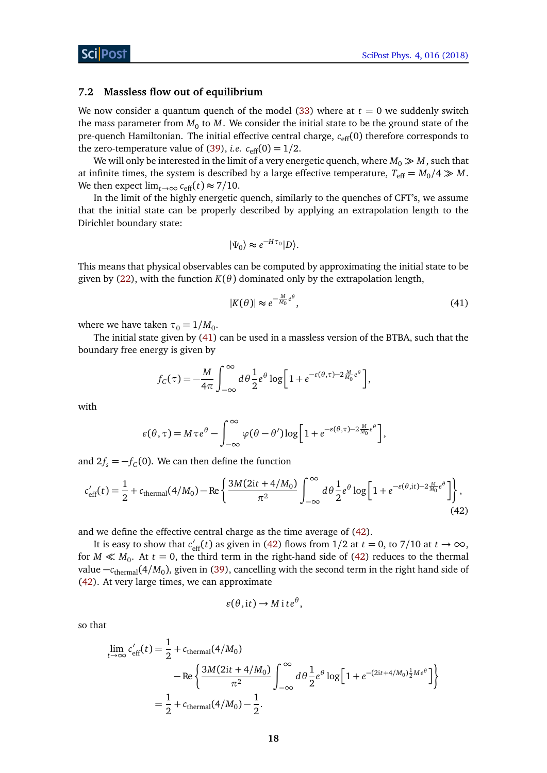#### <span id="page-17-0"></span>**7.2 Massless flow out of equilibrium**

We now consider a quantum quench of the model  $(33)$  where at  $t = 0$  we suddenly switch the mass parameter from  $M_0$  to  $M$ . We consider the initial state to be the ground state of the pre-quench Hamiltonian. The initial effective central charge,  $c_{\text{eff}}(0)$  therefore corresponds to the zero-temperature value of [\(39\)](#page-16-1), *i.e.*  $c_{\text{eff}}(0) = 1/2$ .

We will only be interested in the limit of a very energetic quench, where  $M_0 \gg M$ , such that at infinite times, the system is described by a large effective temperature,  $T_{\text{eff}} = M_0/4 \gg M$ . We then expect  $\lim_{t\to\infty} c_{\text{eff}}(t) \approx 7/10$ .

In the limit of the highly energetic quench, similarly to the quenches of CFT's, we assume that the initial state can be properly described by applying an extrapolation length to the Dirichlet boundary state:

$$
|\Psi_0\rangle \approx e^{-H\tau_0}|D\rangle.
$$

This means that physical observables can be computed by approximating the initial state to be given by [\(22\)](#page-10-1), with the function  $K(\theta)$  dominated only by the extrapolation length,

$$
|K(\theta)| \approx e^{-\frac{M}{M_0}e^{\theta}},\tag{41}
$$

where we have taken  $\tau_0 = 1/M_0$ .

The initial state given by [\(41\)](#page-16-3) can be used in a massless version of the BTBA, such that the boundary free energy is given by

<span id="page-17-1"></span>
$$
f_C(\tau) = -\frac{M}{4\pi} \int_{-\infty}^{\infty} d\theta \frac{1}{2} e^{\theta} \log \left[ 1 + e^{-\varepsilon(\theta,\tau) - 2\frac{M}{M_0}e^{\theta}} \right],
$$

with

$$
\varepsilon(\theta,\tau) = M\tau e^{\theta} - \int_{-\infty}^{\infty} \varphi(\theta-\theta') \log\left[1+e^{-\varepsilon(\theta,\tau)-2\frac{M}{M_0}e^{\theta}}\right],
$$

and  $2f_s = -f_c(0)$ . We can then define the function

$$
c'_{\rm eff}(t) = \frac{1}{2} + c_{\rm thermal}(4/M_0) - \text{Re}\left\{\frac{3M(2it + 4/M_0)}{\pi^2} \int_{-\infty}^{\infty} d\theta \frac{1}{2} e^{\theta} \log\left[1 + e^{-\varepsilon(\theta, it) - 2\frac{M}{M_0}e^{\theta}}\right]\right\},\tag{42}
$$

and we define the effective central charge as the time average of [\(42\)](#page-17-1).

It is easy to show that  $c'_{\text{eff}}(t)$  as given in [\(42\)](#page-17-1) flows from 1/2 at  $t = 0$ , to 7/10 at  $t \to \infty$ , for  $M \ll M_0$ . At  $t = 0$ , the third term in the right-hand side of [\(42\)](#page-17-1) reduces to the thermal value –*c*<sub>thermal</sub>(4/*M*<sub>0</sub>), given in [\(39\)](#page-16-1), cancelling with the second term in the right hand side of [\(42\)](#page-17-1). At very large times, we can approximate

<span id="page-17-2"></span>
$$
\varepsilon(\theta, \mathrm{i} t) \to M \mathrm{i} t e^{\theta},
$$

so that

$$
\lim_{t \to \infty} c'_{\text{eff}}(t) = \frac{1}{2} + c_{\text{thermal}}(4/M_0) \n- \text{Re} \left\{ \frac{3M(2it + 4/M_0)}{\pi^2} \int_{-\infty}^{\infty} d\theta \frac{1}{2} e^{\theta} \log \left[ 1 + e^{-(2it + 4/M_0)\frac{1}{2}Me^{\theta}} \right] \right\} \n= \frac{1}{2} + c_{\text{thermal}}(4/M_0) - \frac{1}{2}.
$$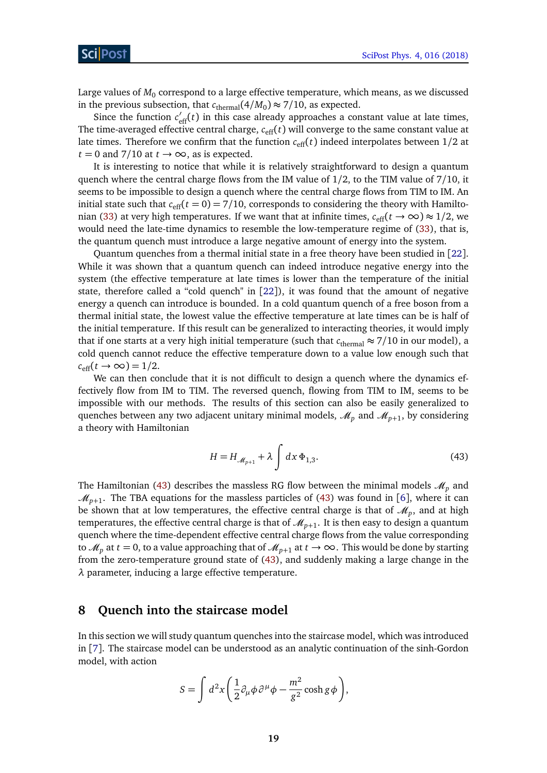Large values of  $M_0$  correspond to a large effective temperature, which means, as we discussed in the previous subsection, that  $c_{\text{thermal}}(4/M_0) \approx 7/10$ , as expected.

Since the function  $c'_{\text{eff}}(t)$  in this case already approaches a constant value at late times, The time-averaged effective central charge,  $c_{\text{eff}}(t)$  will converge to the same constant value at late times. Therefore we confirm that the function  $c_{\text{eff}}(t)$  indeed interpolates between  $1/2$  at  $t = 0$  and 7/10 at  $t \to \infty$ , as is expected.

It is interesting to notice that while it is relatively straightforward to design a quantum quench where the central charge flows from the IM value of 1*/*2, to the TIM value of 7*/*10, it seems to be impossible to design a quench where the central charge flows from TIM to IM. An initial state such that  $c_{\text{eff}}(t=0) = 7/10$ , corresponds to considering the theory with Hamilto-nian [\(33\)](#page-15-1) at very high temperatures. If we want that at infinite times,  $c_{\text{eff}}(t \to \infty) \approx 1/2$ , we would need the late-time dynamics to resemble the low-temperature regime of [\(33\)](#page-15-1), that is, the quantum quench must introduce a large negative amount of energy into the system.

Quantum quenches from a thermal initial state in a free theory have been studied in [[22](#page-28-3)]. While it was shown that a quantum quench can indeed introduce negative energy into the system (the effective temperature at late times is lower than the temperature of the initial state, therefore called a "cold quench" in  $[22]$  $[22]$  $[22]$ ), it was found that the amount of negative energy a quench can introduce is bounded. In a cold quantum quench of a free boson from a thermal initial state, the lowest value the effective temperature at late times can be is half of the initial temperature. If this result can be generalized to interacting theories, it would imply that if one starts at a very high initial temperature (such that  $c_{\text{thermal}} \approx 7/10$  in our model), a cold quench cannot reduce the effective temperature down to a value low enough such that  $c_{\text{eff}}(t \to \infty) = 1/2$ .

We can then conclude that it is not difficult to design a quench where the dynamics effectively flow from IM to TIM. The reversed quench, flowing from TIM to IM, seems to be impossible with our methods. The results of this section can also be easily generalized to quenches between any two adjacent unitary minimal models,  $\mathcal{M}_p$  and  $\mathcal{M}_{p+1}$ , by considering a theory with Hamiltonian

$$
H = H_{\mathcal{M}_{p+1}} + \lambda \int dx \, \Phi_{1,3}.
$$

The Hamiltonian [\(43\)](#page-17-2) describes the massless RG flow between the minimal models  $\mathcal{M}_p$  and  $\mathcal{M}_{p+1}$ . The TBA equations for the massless particles of [\(43\)](#page-17-2) was found in [[6](#page-26-5)], where it can be shown that at low temperatures, the effective central charge is that of  $\mathscr{M}_p$ , and at high temperatures, the effective central charge is that of  $\mathscr{M}_{p+1}.$  It is then easy to design a quantum quench where the time-dependent effective central charge flows from the value corresponding to  $\mathcal{M}_p$  at  $t = 0$ , to a value approaching that of  $\mathcal{M}_{p+1}$  at  $t \to \infty$ . This would be done by starting from the zero-temperature ground state of [\(43\)](#page-17-2), and suddenly making a large change in the *λ* parameter, inducing a large effective temperature.

#### <span id="page-18-0"></span>**8 Quench into the staircase model**

In this section we will study quantum quenches into the staircase model, which was introduced in [[7](#page-26-6)]. The staircase model can be understood as an analytic continuation of the sinh-Gordon model, with action

<span id="page-18-1"></span>
$$
S = \int d^2x \left( \frac{1}{2} \partial_\mu \phi \partial^\mu \phi - \frac{m^2}{g^2} \cosh g \phi \right),
$$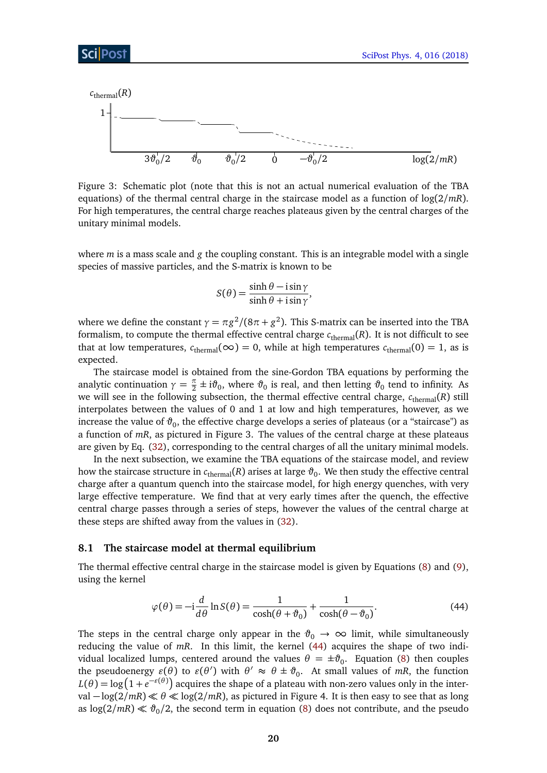

Figure 3: Schematic plot (note that this is not an actual numerical evaluation of the TBA equations) of the thermal central charge in the staircase model as a function of log(2*/mR*). For high temperatures, the central charge reaches plateaus given by the central charges of the unitary minimal models.

where *m* is a mass scale and *g* the coupling constant. This is an integrable model with a single species of massive particles, and the S-matrix is known to be

$$
S(\theta) = \frac{\sinh \theta - i \sin \gamma}{\sinh \theta + i \sin \gamma},
$$

where we define the constant  $\gamma = \pi g^2/(8\pi + g^2)$ . This S-matrix can be inserted into the TBA formalism, to compute the thermal effective central charge  $c_{\text{thermal}}(R)$ . It is not difficult to see that at low temperatures,  $c_{\text{thermal}}(\infty) = 0$ , while at high temperatures  $c_{\text{thermal}}(0) = 1$ , as is expected.

The staircase model is obtained from the sine-Gordon TBA equations by performing the analytic continuation  $\gamma = \frac{\pi}{2} \pm i\vartheta_0$ , where  $\vartheta_0$  is real, and then letting  $\vartheta_0$  tend to infinity. As we will see in the following subsection, the thermal effective central charge,  $c_{\text{thermal}}(R)$  still interpolates between the values of 0 and 1 at low and high temperatures, however, as we increase the value of  $\vartheta_0$ , the effective charge develops a series of plateaus (or a "staircase") as a function of *mR*, as pictured in Figure 3. The values of the central charge at these plateaus are given by Eq. [\(32\)](#page-15-2), corresponding to the central charges of all the unitary minimal models.

In the next subsection, we examine the TBA equations of the staircase model, and review how the staircase structure in  $c_{\rm thermal}(R)$  arises at large  $\vartheta_0.$  We then study the effective central charge after a quantum quench into the staircase model, for high energy quenches, with very large effective temperature. We find that at very early times after the quench, the effective central charge passes through a series of steps, however the values of the central charge at these steps are shifted away from the values in [\(32\)](#page-15-2).

#### <span id="page-19-0"></span>**8.1 The staircase model at thermal equilibrium**

The thermal effective central charge in the staircase model is given by Equations [\(8\)](#page-5-0) and [\(9\)](#page-5-1), using the kernel

$$
\varphi(\theta) = -i\frac{d}{d\theta}\ln S(\theta) = \frac{1}{\cosh(\theta + \vartheta_0)} + \frac{1}{\cosh(\theta - \vartheta_0)}.
$$
\n(44)

The steps in the central charge only appear in the  $\vartheta_0 \to \infty$  limit, while simultaneously reducing the value of *mR*. In this limit, the kernel [\(44\)](#page-18-1) acquires the shape of two individual localized lumps, centered around the values  $\theta = \pm \vartheta_0$ . Equation [\(8\)](#page-5-0) then couples the pseudoenergy  $\varepsilon(\theta)$  to  $\varepsilon(\theta')$  with  $\theta' \approx \theta \pm \vartheta_0$ . At small values of *mR*, the function  $L(\theta) = \log\left(1+e^{-\varepsilon(\theta)}\right)$  acquires the shape of a plateau with non-zero values only in the inter $val - log(2/mR)$   $\ll$   $θ$   $\ll$   $log(2/mR)$ , as pictured in Figure 4. It is then easy to see that as long as  $\log(2/mR) \ll \vartheta_0/2$ , the second term in equation [\(8\)](#page-5-0) does not contribute, and the pseudo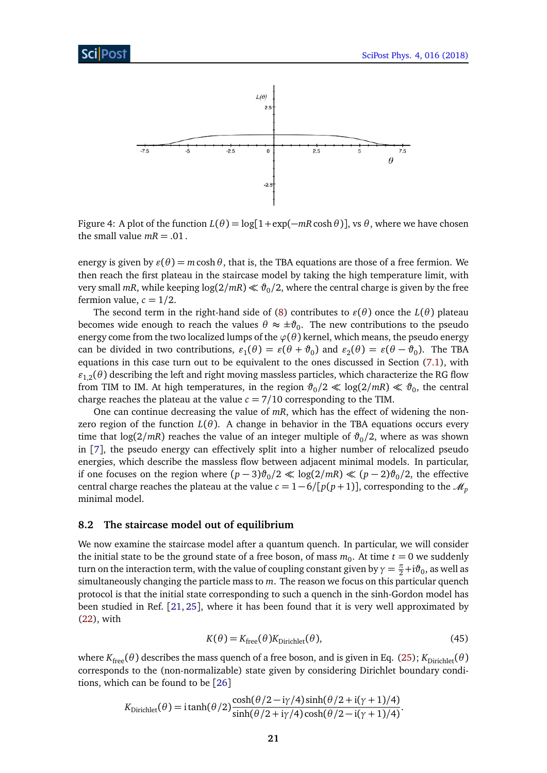

Figure 4: A plot of the function  $L(\theta) = \log[1 + \exp(-mR \cosh \theta)]$ , vs  $\theta$ , where we have chosen the small value  $mR = .01$ .

energy is given by  $\varepsilon(\theta) = m \cosh \theta$ , that is, the TBA equations are those of a free fermion. We then reach the first plateau in the staircase model by taking the high temperature limit, with very small  $mR$ , while keeping  $\log(2/mR) \ll \vartheta_0/2$ , where the central charge is given by the free fermion value,  $c = 1/2$ .

The second term in the right-hand side of [\(8\)](#page-5-0) contributes to  $\varepsilon(\theta)$  once the  $L(\theta)$  plateau becomes wide enough to reach the values  $\theta \approx \pm \vartheta_0$ . The new contributions to the pseudo energy come from the two localized lumps of the  $\varphi(\theta)$  kernel, which means, the pseudo energy can be divided in two contributions,  $\varepsilon_1(\theta) = \varepsilon(\theta + \vartheta_0)$  and  $\varepsilon_2(\theta) = \varepsilon(\theta - \vartheta_0)$ . The TBA equations in this case turn out to be equivalent to the ones discussed in Section [\(7.1\)](#page-15-0), with  $\varepsilon_{1,2}(\theta)$  describing the left and right moving massless particles, which characterize the RG flow from TIM to IM. At high temperatures, in the region  $\vartheta_0/2 \ll \log(2/mR) \ll \vartheta_0$ , the central charge reaches the plateau at the value  $c = 7/10$  corresponding to the TIM.

One can continue decreasing the value of *mR*, which has the effect of widening the nonzero region of the function  $L(\theta)$ . A change in behavior in the TBA equations occurs every time that  $\log(2/mR)$  reaches the value of an integer multiple of  $\vartheta_0/2$ , where as was shown in [[7](#page-26-6)], the pseudo energy can effectively split into a higher number of relocalized pseudo energies, which describe the massless flow between adjacent minimal models. In particular, if one focuses on the region where  $(p-3)θ_0/2$  ≪  $log(2/mR)$  ≪  $(p-2)θ_0/2$ , the effective central charge reaches the plateau at the value  $c = 1 - 6/[p(p+1)]$ , corresponding to the  $\mathcal{M}_p$ minimal model.

#### <span id="page-20-0"></span>**8.2 The staircase model out of equilibrium**

We now examine the staircase model after a quantum quench. In particular, we will consider the initial state to be the ground state of a free boson, of mass  $m_0$ . At time  $t=0$  we suddenly turn on the interaction term, with the value of coupling constant given by  $\gamma=\frac{\pi}{2}+{\rm i}\vartheta_0$ , as well as simultaneously changing the particle mass to *m*. The reason we focus on this particular quench protocol is that the initial state corresponding to such a quench in the sinh-Gordon model has been studied in Ref. [[21,](#page-28-2) [25](#page-28-5)], where it has been found that it is very well approximated by [\(22\)](#page-10-1), with

<span id="page-20-1"></span>
$$
K(\theta) = K_{\text{free}}(\theta) K_{\text{Dirichlet}}(\theta),\tag{45}
$$

where  $K_{\text{free}}(\theta)$  describes the mass quench of a free boson, and is given in Eq. [\(25\)](#page-11-2);  $K_{\text{Dirichlet}}(\theta)$ corresponds to the (non-normalizable) state given by considering Dirichlet boundary conditions, which can be found to be [[26](#page-28-6)]

<span id="page-20-2"></span>
$$
K_{\text{Dirichlet}}(\theta) = \mathrm{i} \tanh(\theta/2) \frac{\cosh(\theta/2 - \mathrm{i}\gamma/4) \sinh(\theta/2 + \mathrm{i}(\gamma + 1)/4)}{\sinh(\theta/2 + \mathrm{i}\gamma/4) \cosh(\theta/2 - \mathrm{i}(\gamma + 1)/4)}.
$$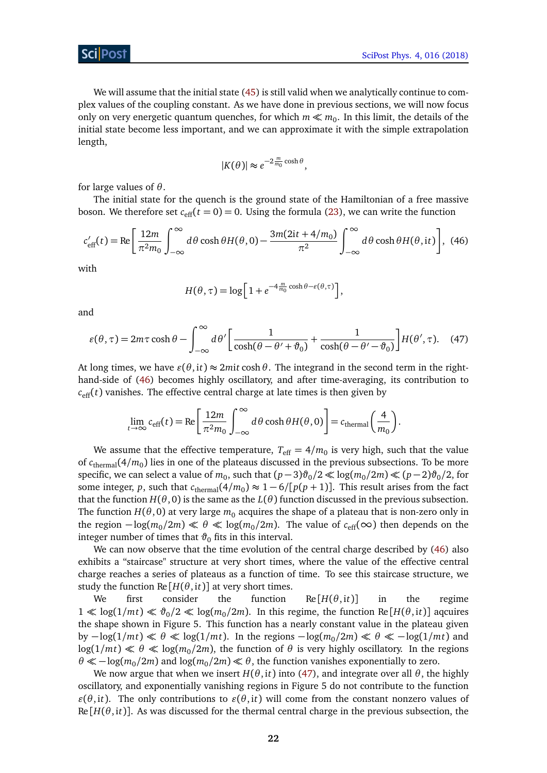We will assume that the initial state [\(45\)](#page-20-1) is still valid when we analytically continue to complex values of the coupling constant. As we have done in previous sections, we will now focus only on very energetic quantum quenches, for which  $m \ll m_0$ . In this limit, the details of the initial state become less important, and we can approximate it with the simple extrapolation length,

$$
|K(\theta)| \approx e^{-2\frac{m}{m_0}\cosh\theta},
$$

for large values of *θ*.

The initial state for the quench is the ground state of the Hamiltonian of a free massive boson. We therefore set  $c_{\text{eff}}(t=0) = 0$ . Using the formula [\(23\)](#page-10-2), we can write the function

$$
c'_{\text{eff}}(t) = \text{Re}\left[\frac{12m}{\pi^2 m_0} \int_{-\infty}^{\infty} d\theta \cosh\theta H(\theta,0) - \frac{3m(2it + 4/m_0)}{\pi^2} \int_{-\infty}^{\infty} d\theta \cosh\theta H(\theta, it)\right], (46)
$$

with

<span id="page-21-0"></span>
$$
H(\theta, \tau) = \log \left[ 1 + e^{-4 \frac{m}{m_0} \cosh \theta - \varepsilon(\theta, \tau)} \right],
$$

and

$$
\varepsilon(\theta,\tau) = 2m\tau\cosh\theta - \int_{-\infty}^{\infty} d\theta' \left[ \frac{1}{\cosh(\theta - \theta' + \vartheta_0)} + \frac{1}{\cosh(\theta - \theta' - \vartheta_0)} \right] H(\theta',\tau). \quad (47)
$$

At long times, we have  $\varepsilon(\theta, it) \approx 2m$  *it* cosh  $\theta$ . The integrand in the second term in the righthand-side of [\(46\)](#page-20-2) becomes highly oscillatory, and after time-averaging, its contribution to  $c_{\text{eff}}(t)$  vanishes. The effective central charge at late times is then given by

<span id="page-21-1"></span>
$$
\lim_{t \to \infty} c_{\text{eff}}(t) = \text{Re}\left[\frac{12m}{\pi^2 m_0} \int_{-\infty}^{\infty} d\theta \cosh\theta H(\theta, 0)\right] = c_{\text{thermal}}\left(\frac{4}{m_0}\right).
$$

We assume that the effective temperature,  $T_{\rm eff} = 4/m_0$  is very high, such that the value of *c*thermal(4*/m*<sup>0</sup> ) lies in one of the plateaus discussed in the previous subsections. To be more specific, we can select a value of  $m_0$ , such that  $(p-3)\vartheta_0/2 \ll \log(m_0/2m) \ll (p-2)\vartheta_0/2$ , for some integer, *p*, such that  $c_{\text{thermal}}(4/m_0) \approx 1 - 6/[p(p+1)]$ . This result arises from the fact that the function  $H(\theta, 0)$  is the same as the  $L(\theta)$  function discussed in the previous subsection. The function  $H(\theta, 0)$  at very large  $m_0$  acquires the shape of a plateau that is non-zero only in the region  $-\log(m_0/2m) \ll \theta \ll \log(m_0/2m)$ . The value of  $c_{\text{eff}}(\infty)$  then depends on the integer number of times that  $\vartheta_0$  fits in this interval.

We can now observe that the time evolution of the central charge described by [\(46\)](#page-20-2) also exhibits a "staircase" structure at very short times, where the value of the effective central charge reaches a series of plateaus as a function of time. To see this staircase structure, we study the function  $\text{Re}[H(\theta, \text{it})]$  at very short times.

We first consider the function  $Re[H(\theta, it)]$  in the regime  $1 \ll \log(1/mt) \ll \vartheta_0/2 \ll \log(m_0/2m)$ . In this regime, the function Re [*H*( $\theta$ , it)] aqcuires the shape shown in Figure 5. This function has a nearly constant value in the plateau given  $by -log(1/mt) \ll \theta \ll log(1/mt)$ . In the regions  $-log(m_0/2m) \ll \theta \ll -log(1/mt)$  and  $\log(1/mt) \ll \theta \ll \log(m_0/2m)$ , the function of  $\theta$  is very highly oscillatory. In the regions  $\theta \ll -\log(m_0/2m)$  and  $\log(m_0/2m) \ll \theta$ , the function vanishes exponentially to zero.

We now argue that when we insert  $H(\theta, it)$  into [\(47\)](#page-21-0), and integrate over all  $\theta$ , the highly oscillatory, and exponentially vanishing regions in Figure 5 do not contribute to the function  $\varepsilon(\theta, it)$ . The only contributions to  $\varepsilon(\theta, it)$  will come from the constant nonzero values of  $Re[H(\theta, it)]$ . As was discussed for the thermal central charge in the previous subsection, the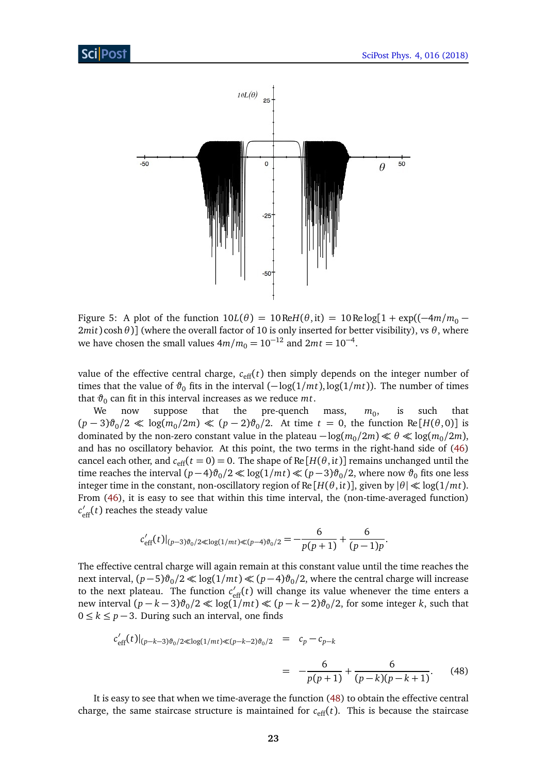

Figure 5: A plot of the function  $10L(\theta) = 10 \text{Re}H(\theta, \text{it}) = 10 \text{Re} \log[1 + \exp((-4m/m_0 -$ 2*m*i*t*) cosh*θ*)] (where the overall factor of 10 is only inserted for better visibility), vs *θ*, where we have chosen the small values  $4m/m_0 = 10^{-12}$  and  $2mt = 10^{-4}$ .

value of the effective central charge,  $c_{\text{eff}}(t)$  then simply depends on the integer number of times that the value of  $\vartheta_0$  fits in the interval  $(-\log(1/mt), \log(1/mt))$ . The number of times that *ϑ*<sup>0</sup> can fit in this interval increases as we reduce *mt*.

We now suppose that the pre-quench mass,  $m_0$ , , is such that  $(p-3)\vartheta_0/2 \ll \log(m_0/2m) \ll (p-2)\vartheta_0/2$ . At time  $t = 0$ , the function Re[*H*( $\theta$ , 0)] is dominated by the non-zero constant value in the plateau  $-\log(m_0/2m) \ll \theta \ll \log(m_0/2m)$ , and has no oscillatory behavior. At this point, the two terms in the right-hand side of [\(46\)](#page-20-2) cancel each other, and  $c_{\text{eff}}(t=0) = 0$ . The shape of Re [ $H(\theta, it)$ ] remains unchanged until the time reaches the interval  $(p-4)\vartheta_0/2 \ll \log(1/mt) \ll (p-3)\vartheta_0/2$ , where now  $\vartheta_0$  fits one less integer time in the constant, non-oscillatory region of Re  $[H(\theta, it)]$ , given by  $|\theta| \ll \log(1/mt)$ . From [\(46\)](#page-20-2), it is easy to see that within this time interval, the (non-time-averaged function)  $c'_{\text{eff}}(t)$  reaches the steady value

$$
c'_{\text{eff}}(t)|_{(p-3)\vartheta_0/2 \ll \log(1/mt) \ll (p-4)\vartheta_0/2} = -\frac{6}{p(p+1)} + \frac{6}{(p-1)p}.
$$

The effective central charge will again remain at this constant value until the time reaches the next interval,  $(p-5)\vartheta_0/2 \ll \log(1/mt) \ll (p-4)\vartheta_0/2$ , where the central charge will increase to the next plateau. The function  $c'_{\text{eff}}(t)$  will change its value whenever the time enters a new interval  $(p - k - 3)\vartheta_0/2 \ll \log(1/mt) \ll (p - k - 2)\vartheta_0/2$ , for some integer *k*, such that 0 ≤ *k* ≤ *p* − 3. During such an interval, one finds

$$
c'_{\text{eff}}(t)|_{(p-k-3)\vartheta_0/2 \ll \log(1/mt) \ll (p-k-2)\vartheta_0/2} = c_p - c_{p-k}
$$
  
= 
$$
-\frac{6}{p(p+1)} + \frac{6}{(p-k)(p-k+1)}.
$$
 (48)

It is easy to see that when we time-average the function [\(48\)](#page-21-1) to obtain the effective central charge, the same staircase structure is maintained for  $c_{\text{eff}}(t)$ . This is because the staircase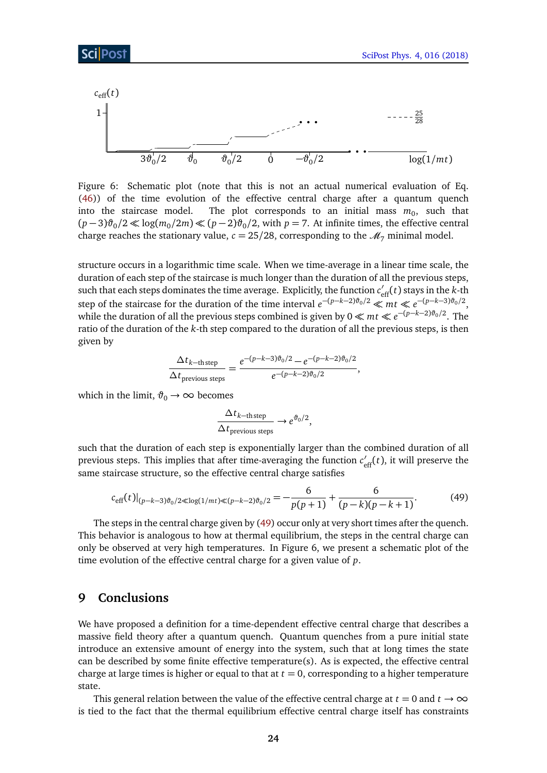

Figure 6: Schematic plot (note that this is not an actual numerical evaluation of Eq. [\(46\)](#page-20-2)) of the time evolution of the effective central charge after a quantum quench into the staircase model. The plot corresponds to an initial mass  $m_0$ , such that  $(p-3)\vartheta_0/2 \ll \log(m_0/2m) \ll (p-2)\vartheta_0/2$ , with *p* = 7. At infinite times, the effective central charge reaches the stationary value,  $c = 25/28$ , corresponding to the  $\mathcal{M}_7$  minimal model.

structure occurs in a logarithmic time scale. When we time-average in a linear time scale, the duration of each step of the staircase is much longer than the duration of all the previous steps, such that each steps dominates the time average. Explicitly, the function  $c'_{\text{eff}}(t)$  stays in the *k*-th step of the staircase for the duration of the time interval  $e^{-(p-k-2)\vartheta_0/2} \ll m t \ll e^{-(p-k-3)\vartheta_0/2}$ , while the duration of all the previous steps combined is given by  $0 \ll mt \ll e^{-(p-k-2)\vartheta_0/2}$ . The ratio of the duration of the *k*-th step compared to the duration of all the previous steps, is then given by

<span id="page-23-1"></span>
$$
\frac{\Delta t_{k-\text{th step}}}{\Delta t_{\text{previous steps}}} = \frac{e^{-(p-k-3)\vartheta_0/2} - e^{-(p-k-2)\vartheta_0/2}}{e^{-(p-k-2)\vartheta_0/2}},
$$

which in the limit,  $\vartheta_0 \rightarrow \infty$  becomes

$$
\frac{\Delta t_{k-\text{th step}}}{\Delta t_{\text{previous steps}}} \to e^{\vartheta_0/2},
$$

such that the duration of each step is exponentially larger than the combined duration of all previous steps. This implies that after time-averaging the function  $c'_{\text{eff}}(t)$ , it will preserve the same staircase structure, so the effective central charge satisfies

$$
c_{\text{eff}}(t)|_{(p-k-3)\vartheta_0/2 \ll \log(1/mt) \ll (p-k-2)\vartheta_0/2} = -\frac{6}{p(p+1)} + \frac{6}{(p-k)(p-k+1)}.
$$
 (49)

The steps in the central charge given by [\(49\)](#page-23-1) occur only at very short times after the quench. This behavior is analogous to how at thermal equilibrium, the steps in the central charge can only be observed at very high temperatures. In Figure 6, we present a schematic plot of the time evolution of the effective central charge for a given value of *p*.

#### <span id="page-23-0"></span>**9 Conclusions**

We have proposed a definition for a time-dependent effective central charge that describes a massive field theory after a quantum quench. Quantum quenches from a pure initial state introduce an extensive amount of energy into the system, such that at long times the state can be described by some finite effective temperature(s). As is expected, the effective central charge at large times is higher or equal to that at  $t = 0$ , corresponding to a higher temperature state.

This general relation between the value of the effective central charge at  $t = 0$  and  $t \to \infty$ is tied to the fact that the thermal equilibrium effective central charge itself has constraints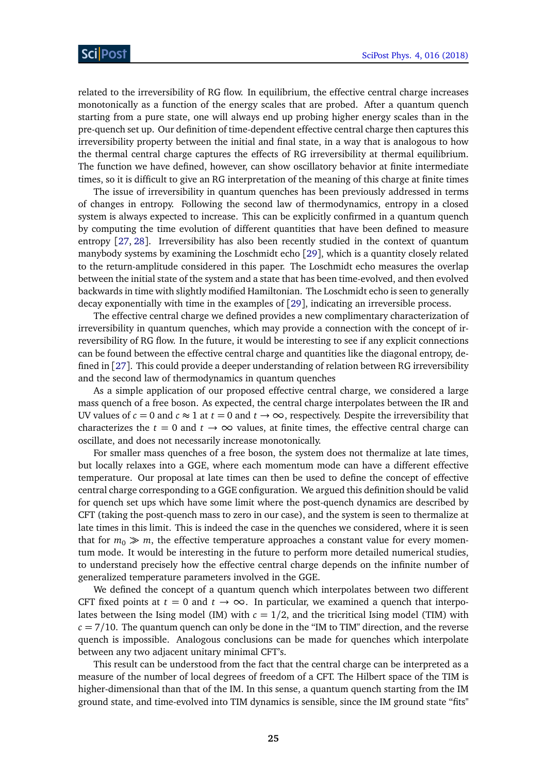related to the irreversibility of RG flow. In equilibrium, the effective central charge increases monotonically as a function of the energy scales that are probed. After a quantum quench starting from a pure state, one will always end up probing higher energy scales than in the pre-quench set up. Our definition of time-dependent effective central charge then captures this irreversibility property between the initial and final state, in a way that is analogous to how the thermal central charge captures the effects of RG irreversibility at thermal equilibrium. The function we have defined, however, can show oscillatory behavior at finite intermediate times, so it is difficult to give an RG interpretation of the meaning of this charge at finite times

The issue of irreversibility in quantum quenches has been previously addressed in terms of changes in entropy. Following the second law of thermodynamics, entropy in a closed system is always expected to increase. This can be explicitly confirmed in a quantum quench by computing the time evolution of different quantities that have been defined to measure entropy [[27,](#page-28-7) [28](#page-28-8)]. Irreversibility has also been recently studied in the context of quantum manybody systems by examining the Loschmidt echo [[29](#page-28-9)], which is a quantity closely related to the return-amplitude considered in this paper. The Loschmidt echo measures the overlap between the initial state of the system and a state that has been time-evolved, and then evolved backwards in time with slightly modified Hamiltonian. The Loschmidt echo is seen to generally decay exponentially with time in the examples of [[29](#page-28-9)], indicating an irreversible process.

The effective central charge we defined provides a new complimentary characterization of irreversibility in quantum quenches, which may provide a connection with the concept of irreversibility of RG flow. In the future, it would be interesting to see if any explicit connections can be found between the effective central charge and quantities like the diagonal entropy, defined in [[27](#page-28-7)]. This could provide a deeper understanding of relation between RG irreversibility and the second law of thermodynamics in quantum quenches

As a simple application of our proposed effective central charge, we considered a large mass quench of a free boson. As expected, the central charge interpolates between the IR and UV values of  $c = 0$  and  $c \approx 1$  at  $t = 0$  and  $t \rightarrow \infty$ , respectively. Despite the irreversibility that characterizes the  $t = 0$  and  $t \to \infty$  values, at finite times, the effective central charge can oscillate, and does not necessarily increase monotonically.

For smaller mass quenches of a free boson, the system does not thermalize at late times, but locally relaxes into a GGE, where each momentum mode can have a different effective temperature. Our proposal at late times can then be used to define the concept of effective central charge corresponding to a GGE configuration. We argued this definition should be valid for quench set ups which have some limit where the post-quench dynamics are described by CFT (taking the post-quench mass to zero in our case), and the system is seen to thermalize at late times in this limit. This is indeed the case in the quenches we considered, where it is seen that for  $m_0 \gg m$ , the effective temperature approaches a constant value for every momentum mode. It would be interesting in the future to perform more detailed numerical studies, to understand precisely how the effective central charge depends on the infinite number of generalized temperature parameters involved in the GGE.

We defined the concept of a quantum quench which interpolates between two different CFT fixed points at  $t = 0$  and  $t \to \infty$ . In particular, we examined a quench that interpolates between the Ising model (IM) with  $c = 1/2$ , and the tricritical Ising model (TIM) with  $c = 7/10$ . The quantum quench can only be done in the "IM to TIM" direction, and the reverse quench is impossible. Analogous conclusions can be made for quenches which interpolate between any two adjacent unitary minimal CFT's.

This result can be understood from the fact that the central charge can be interpreted as a measure of the number of local degrees of freedom of a CFT. The Hilbert space of the TIM is higher-dimensional than that of the IM. In this sense, a quantum quench starting from the IM ground state, and time-evolved into TIM dynamics is sensible, since the IM ground state "fits"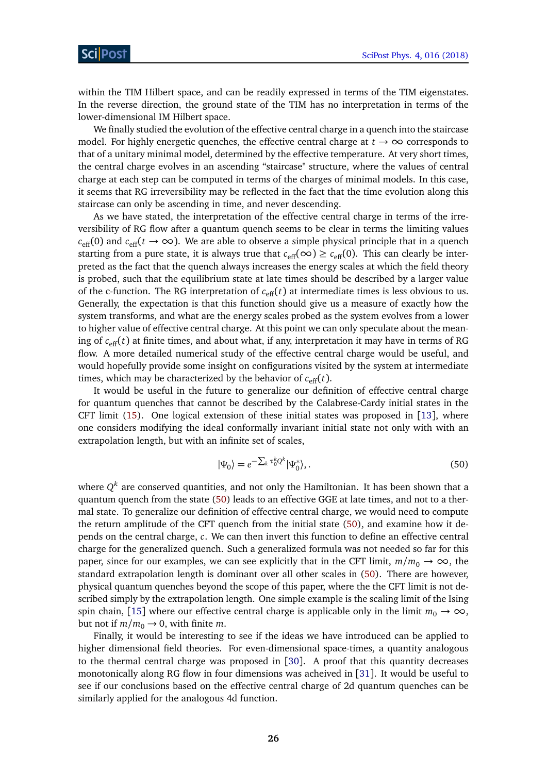within the TIM Hilbert space, and can be readily expressed in terms of the TIM eigenstates. In the reverse direction, the ground state of the TIM has no interpretation in terms of the lower-dimensional IM Hilbert space.

We finally studied the evolution of the effective central charge in a quench into the staircase model. For highly energetic quenches, the effective central charge at  $t \to \infty$  corresponds to that of a unitary minimal model, determined by the effective temperature. At very short times, the central charge evolves in an ascending "staircase" structure, where the values of central charge at each step can be computed in terms of the charges of minimal models. In this case, it seems that RG irreversibility may be reflected in the fact that the time evolution along this staircase can only be ascending in time, and never descending.

As we have stated, the interpretation of the effective central charge in terms of the irreversibility of RG flow after a quantum quench seems to be clear in terms the limiting values  $c_{\text{eff}}(0)$  and  $c_{\text{eff}}(t \to \infty)$ . We are able to observe a simple physical principle that in a quench starting from a pure state, it is always true that  $c_{\text{eff}}(\infty) \geq c_{\text{eff}}(0)$ . This can clearly be interpreted as the fact that the quench always increases the energy scales at which the field theory is probed, such that the equilibrium state at late times should be described by a larger value of the c-function. The RG interpretation of  $c_{\text{eff}}(t)$  at intermediate times is less obvious to us. Generally, the expectation is that this function should give us a measure of exactly how the system transforms, and what are the energy scales probed as the system evolves from a lower to higher value of effective central charge. At this point we can only speculate about the meaning of  $c_{\text{eff}}(t)$  at finite times, and about what, if any, interpretation it may have in terms of RG flow. A more detailed numerical study of the effective central charge would be useful, and would hopefully provide some insight on configurations visited by the system at intermediate times, which may be characterized by the behavior of  $c_{\text{eff}}(t)$ .

It would be useful in the future to generalize our definition of effective central charge for quantum quenches that cannot be described by the Calabrese-Cardy initial states in the CFT limit [\(15\)](#page-8-0). One logical extension of these initial states was proposed in [[13](#page-27-6)], where one considers modifying the ideal conformally invariant initial state not only with with an extrapolation length, but with an infinite set of scales,

<span id="page-25-0"></span>
$$
|\Psi_0\rangle = e^{-\sum_k \tau_0^k Q^k} |\Psi_0^*\rangle, \qquad (50)
$$

where  $Q^k$  are conserved quantities, and not only the Hamiltonian. It has been shown that a quantum quench from the state [\(50\)](#page-25-0) leads to an effective GGE at late times, and not to a thermal state. To generalize our definition of effective central charge, we would need to compute the return amplitude of the CFT quench from the initial state [\(50\)](#page-25-0), and examine how it depends on the central charge, *c*. We can then invert this function to define an effective central charge for the generalized quench. Such a generalized formula was not needed so far for this paper, since for our examples, we can see explicitly that in the CFT limit,  $m/m_0 \rightarrow \infty$ , the standard extrapolation length is dominant over all other scales in [\(50\)](#page-25-0). There are however, physical quantum quenches beyond the scope of this paper, where the the CFT limit is not described simply by the extrapolation length. One simple example is the scaling limit of the Ising spin chain, [[15](#page-27-8)] where our effective central charge is applicable only in the limit  $m_0 \to \infty$ , but not if  $m/m_0 \rightarrow 0$ , with finite *m*.

Finally, it would be interesting to see if the ideas we have introduced can be applied to higher dimensional field theories. For even-dimensional space-times, a quantity analogous to the thermal central charge was proposed in [[30](#page-28-10)]. A proof that this quantity decreases monotonically along RG flow in four dimensions was acheived in [[31](#page-28-11)]. It would be useful to see if our conclusions based on the effective central charge of 2d quantum quenches can be similarly applied for the analogous 4d function.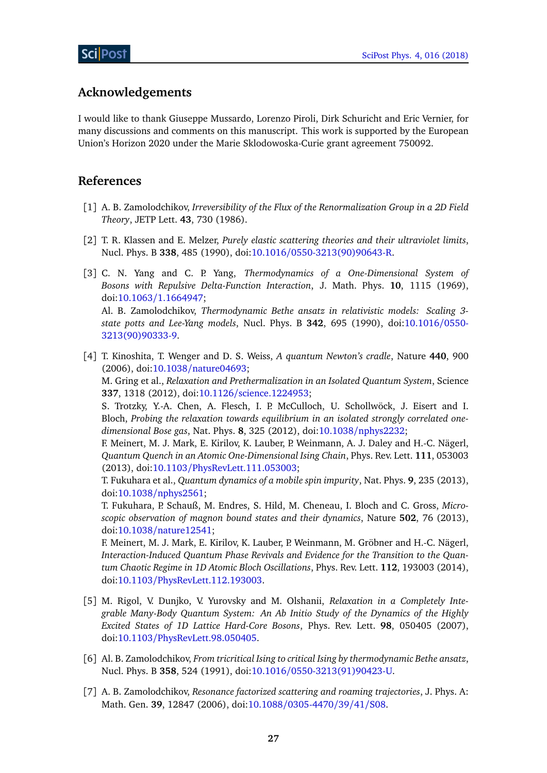## **Acknowledgements**

I would like to thank Giuseppe Mussardo, Lorenzo Piroli, Dirk Schuricht and Eric Vernier, for many discussions and comments on this manuscript. This work is supported by the European Union's Horizon 2020 under the Marie Sklodowoska-Curie grant agreement 750092.

## **References**

- <span id="page-26-0"></span>[1] A. B. Zamolodchikov, *Irreversibility of the Flux of the Renormalization Group in a 2D Field Theory*, JETP Lett. **43**, 730 (1986).
- <span id="page-26-1"></span>[2] T. R. Klassen and E. Melzer, *Purely elastic scattering theories and their ultraviolet limits*, Nucl. Phys. B **338**, 485 (1990), doi:10.1016/[0550-3213\(90\)90643-R.](http://dx.doi.org/10.1016/0550-3213(90)90643-R)
- <span id="page-26-2"></span>[3] C. N. Yang and C. P. Yang, *Thermodynamics of a One-Dimensional System of Bosons with Repulsive Delta-Function Interaction*, J. Math. Phys. **10**, 1115 (1969), doi:10.1063/[1.1664947;](http://dx.doi.org/10.1063/1.1664947) Al. B. Zamolodchikov, *Thermodynamic Bethe ansatz in relativistic models: Scaling 3 state potts and Lee-Yang models*, Nucl. Phys. B **342**, 695 (1990), doi[:10.1016](http://dx.doi.org/10.1016/0550-3213(90)90333-9)/0550- [3213\(90\)90333-9.](http://dx.doi.org/10.1016/0550-3213(90)90333-9)
- <span id="page-26-3"></span>[4] T. Kinoshita, T. Wenger and D. S. Weiss, *A quantum Newton's cradle*, Nature **440**, 900 (2006), doi:10.1038/[nature04693;](http://dx.doi.org/10.1038/nature04693) M. Gring et al., *Relaxation and Prethermalization in an Isolated Quantum System*, Science **337**, 1318 (2012), doi:10.1126/[science.1224953;](http://dx.doi.org/10.1126/science.1224953)

S. Trotzky, Y.-A. Chen, A. Flesch, I. P. McCulloch, U. Schollwöck, J. Eisert and I. Bloch, *Probing the relaxation towards equilibrium in an isolated strongly correlated onedimensional Bose gas*, Nat. Phys. **8**, 325 (2012), doi:10.1038/[nphys2232;](http://dx.doi.org/10.1038/nphys2232)

F. Meinert, M. J. Mark, E. Kirilov, K. Lauber, P. Weinmann, A. J. Daley and H.-C. Nägerl, *Quantum Quench in an Atomic One-Dimensional Ising Chain*, Phys. Rev. Lett. **111**, 053003 (2013), doi:10.1103/[PhysRevLett.111.053003;](http://dx.doi.org/10.1103/PhysRevLett.111.053003)

T. Fukuhara et al., *Quantum dynamics of a mobile spin impurity*, Nat. Phys. **9**, 235 (2013), doi:10.1038/[nphys2561;](http://dx.doi.org/10.1038/nphys2561)

T. Fukuhara, P. Schauß, M. Endres, S. Hild, M. Cheneau, I. Bloch and C. Gross, *Microscopic observation of magnon bound states and their dynamics*, Nature **502**, 76 (2013), doi:10.1038/[nature12541;](http://dx.doi.org/10.1038/nature12541)

F. Meinert, M. J. Mark, E. Kirilov, K. Lauber, P. Weinmann, M. Gröbner and H.-C. Nägerl, *Interaction-Induced Quantum Phase Revivals and Evidence for the Transition to the Quantum Chaotic Regime in 1D Atomic Bloch Oscillations*, Phys. Rev. Lett. **112**, 193003 (2014), doi:10.1103/[PhysRevLett.112.193003.](http://dx.doi.org/10.1103/PhysRevLett.112.193003)

- <span id="page-26-4"></span>[5] M. Rigol, V. Dunjko, V. Yurovsky and M. Olshanii, *Relaxation in a Completely Integrable Many-Body Quantum System: An Ab Initio Study of the Dynamics of the Highly Excited States of 1D Lattice Hard-Core Bosons*, Phys. Rev. Lett. **98**, 050405 (2007), doi:10.1103/[PhysRevLett.98.050405.](http://dx.doi.org/10.1103/PhysRevLett.98.050405)
- <span id="page-26-5"></span>[6] Al. B. Zamolodchikov, *From tricritical Ising to critical Ising by thermodynamic Bethe ansatz*, Nucl. Phys. B **358**, 524 (1991), doi:10.1016/[0550-3213\(91\)90423-U.](http://dx.doi.org/10.1016/0550-3213(91)90423-U)
- <span id="page-26-6"></span>[7] A. B. Zamolodchikov, *Resonance factorized scattering and roaming trajectories*, J. Phys. A: Math. Gen. **39**, 12847 (2006), doi:10.1088/[0305-4470](http://dx.doi.org/10.1088/0305-4470/39/41/S08)/39/41/S08.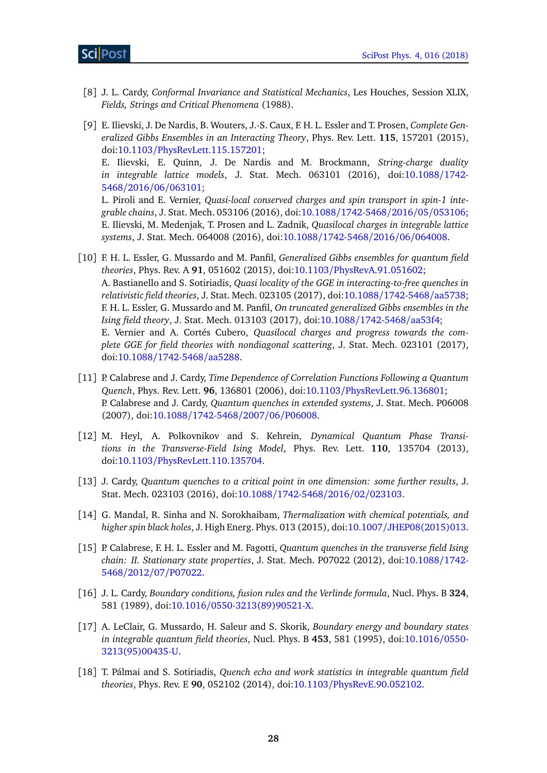### ScilPost

- <span id="page-27-0"></span>[8] J. L. Cardy, *Conformal Invariance and Statistical Mechanics*, Les Houches, Session XLIX, *Fields, Strings and Critical Phenomena* (1988).
- <span id="page-27-4"></span>[9] E. Ilievski, J. De Nardis, B. Wouters, J.-S. Caux, F. H. L. Essler and T. Prosen, *Complete Generalized Gibbs Ensembles in an Interacting Theory*, Phys. Rev. Lett. **115**, 157201 (2015), doi:10.1103/[PhysRevLett.115.157201;](http://dx.doi.org/10.1103/PhysRevLett.115.157201) E. Ilievski, E. Quinn, J. De Nardis and M. Brockmann, *String-charge duality in integrable lattice models*, J. Stat. Mech. 063101 (2016), doi[:10.1088](http://dx.doi.org/10.1088/1742-5468/2016/06/063101)/1742- 5468/2016/06/[063101;](http://dx.doi.org/10.1088/1742-5468/2016/06/063101) L. Piroli and E. Vernier, *Quasi-local conserved charges and spin transport in spin-1 integrable chains*, J. Stat. Mech. 053106 (2016), doi:10.1088/[1742-5468](http://dx.doi.org/10.1088/1742-5468/2016/05/053106)/2016/05/053106; E. Ilievski, M. Medenjak, T. Prosen and L. Zadnik, *Quasilocal charges in integrable lattice systems*, J. Stat. Mech. 064008 (2016), doi:10.1088/[1742-5468](http://dx.doi.org/10.1088/1742-5468/2016/06/064008)/2016/06/064008.
- <span id="page-27-5"></span>[10] F. H. L. Essler, G. Mussardo and M. Panfil, *Generalized Gibbs ensembles for quantum field theories*, Phys. Rev. A **91**, 051602 (2015), doi:10.1103/[PhysRevA.91.051602;](http://dx.doi.org/10.1103/PhysRevA.91.051602) A. Bastianello and S. Sotiriadis, *Quasi locality of the GGE in interacting-to-free quenches in relativistic field theories*, J. Stat. Mech. 023105 (2017), doi:10.1088/[1742-5468](http://dx.doi.org/10.1088/1742-5468/aa5738)/aa5738; F. H. L. Essler, G. Mussardo and M. Panfil, *On truncated generalized Gibbs ensembles in the Ising field theory*, J. Stat. Mech. 013103 (2017), doi:10.1088/[1742-5468](http://dx.doi.org/10.1088/1742-5468/aa53f4)/aa53f4; E. Vernier and A. Cortés Cubero, *Quasilocal charges and progress towards the complete GGE for field theories with nondiagonal scattering*, J. Stat. Mech. 023101 (2017), doi:10.1088/[1742-5468](http://dx.doi.org/10.1088/1742-5468/aa5288)/aa5288.
- <span id="page-27-3"></span>[11] P. Calabrese and J. Cardy, *Time Dependence of Correlation Functions Following a Quantum Quench*, Phys. Rev. Lett. **96**, 136801 (2006), doi:10.1103/[PhysRevLett.96.136801;](http://dx.doi.org/10.1103/PhysRevLett.96.136801) P. Calabrese and J. Cardy, *Quantum quenches in extended systems*, J. Stat. Mech. P06008 (2007), doi:10.1088/[1742-5468](http://dx.doi.org/10.1088/1742-5468/2007/06/P06008)/2007/06/P06008.
- <span id="page-27-2"></span>[12] M. Heyl, A. Polkovnikov and S. Kehrein, *Dynamical Quantum Phase Transitions in the Transverse-Field Ising Model*, Phys. Rev. Lett. **110**, 135704 (2013), doi:10.1103/[PhysRevLett.110.135704.](http://dx.doi.org/10.1103/PhysRevLett.110.135704)
- <span id="page-27-6"></span>[13] J. Cardy, *Quantum quenches to a critical point in one dimension: some further results*, J. Stat. Mech. 023103 (2016), doi:10.1088/[1742-5468](http://dx.doi.org/10.1088/1742-5468/2016/02/023103)/2016/02/023103.
- <span id="page-27-7"></span>[14] G. Mandal, R. Sinha and N. Sorokhaibam, *Thermalization with chemical potentials, and higher spin black holes*, J. High Energ. Phys. 013 (2015), doi:10.1007/[JHEP08\(2015\)013.](http://dx.doi.org/10.1007/JHEP08(2015)013)
- <span id="page-27-8"></span>[15] P. Calabrese, F. H. L. Essler and M. Fagotti, *Quantum quenches in the transverse field Ising chain: II. Stationary state properties*, J. Stat. Mech. P07022 (2012), doi[:10.1088](http://dx.doi.org/10.1088/1742-5468/2012/07/P07022)/1742- 5468/2012/07/[P07022.](http://dx.doi.org/10.1088/1742-5468/2012/07/P07022)
- <span id="page-27-9"></span>[16] J. L. Cardy, *Boundary conditions, fusion rules and the Verlinde formula*, Nucl. Phys. B **324**, 581 (1989), doi:10.1016/[0550-3213\(89\)90521-X.](http://dx.doi.org/10.1016/0550-3213(89)90521-X)
- <span id="page-27-1"></span>[17] A. LeClair, G. Mussardo, H. Saleur and S. Skorik, *Boundary energy and boundary states in integrable quantum field theories*, Nucl. Phys. B **453**, 581 (1995), doi[:10.1016](http://dx.doi.org/10.1016/0550-3213(95)00435-U)/0550- [3213\(95\)00435-U.](http://dx.doi.org/10.1016/0550-3213(95)00435-U)
- <span id="page-27-10"></span>[18] T. Pálmai and S. Sotiriadis, *Quench echo and work statistics in integrable quantum field theories*, Phys. Rev. E **90**, 052102 (2014), doi:10.1103/[PhysRevE.90.052102.](http://dx.doi.org/10.1103/PhysRevE.90.052102)